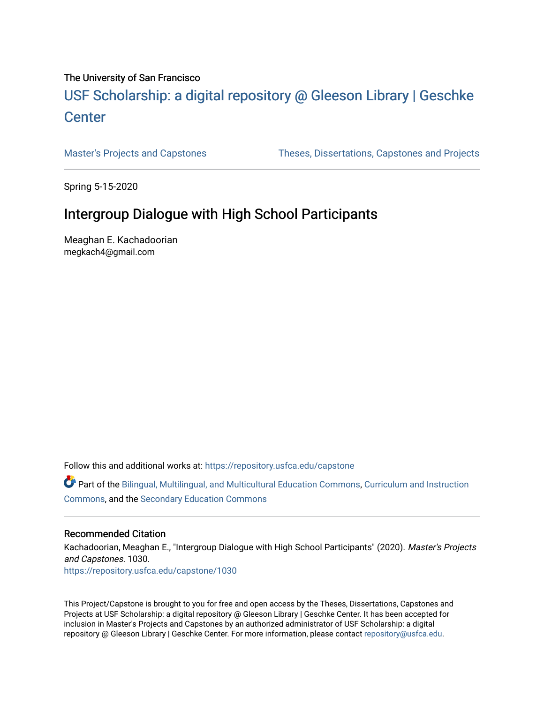# The University of San Francisco

# USF Scholarship: [a digital repository @ Gleeson Libr](https://repository.usfca.edu/)ary | Geschke **Center**

[Master's Projects and Capstones](https://repository.usfca.edu/capstone) [Theses, Dissertations, Capstones and Projects](https://repository.usfca.edu/etd) 

Spring 5-15-2020

# Intergroup Dialogue with High School Participants

Meaghan E. Kachadoorian megkach4@gmail.com

Follow this and additional works at: [https://repository.usfca.edu/capstone](https://repository.usfca.edu/capstone?utm_source=repository.usfca.edu%2Fcapstone%2F1030&utm_medium=PDF&utm_campaign=PDFCoverPages) 

Part of the [Bilingual, Multilingual, and Multicultural Education Commons,](http://network.bepress.com/hgg/discipline/785?utm_source=repository.usfca.edu%2Fcapstone%2F1030&utm_medium=PDF&utm_campaign=PDFCoverPages) [Curriculum and Instruction](http://network.bepress.com/hgg/discipline/786?utm_source=repository.usfca.edu%2Fcapstone%2F1030&utm_medium=PDF&utm_campaign=PDFCoverPages)  [Commons](http://network.bepress.com/hgg/discipline/786?utm_source=repository.usfca.edu%2Fcapstone%2F1030&utm_medium=PDF&utm_campaign=PDFCoverPages), and the [Secondary Education Commons](http://network.bepress.com/hgg/discipline/1382?utm_source=repository.usfca.edu%2Fcapstone%2F1030&utm_medium=PDF&utm_campaign=PDFCoverPages) 

## Recommended Citation

Kachadoorian, Meaghan E., "Intergroup Dialogue with High School Participants" (2020). Master's Projects and Capstones. 1030. [https://repository.usfca.edu/capstone/1030](https://repository.usfca.edu/capstone/1030?utm_source=repository.usfca.edu%2Fcapstone%2F1030&utm_medium=PDF&utm_campaign=PDFCoverPages) 

This Project/Capstone is brought to you for free and open access by the Theses, Dissertations, Capstones and Projects at USF Scholarship: a digital repository @ Gleeson Library | Geschke Center. It has been accepted for inclusion in Master's Projects and Capstones by an authorized administrator of USF Scholarship: a digital repository @ Gleeson Library | Geschke Center. For more information, please contact [repository@usfca.edu.](mailto:repository@usfca.edu)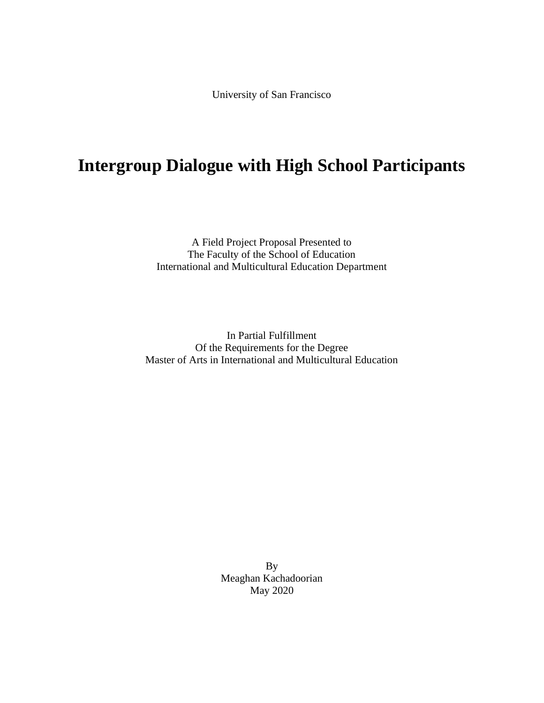University of San Francisco

# **Intergroup Dialogue with High School Participants**

A Field Project Proposal Presented to The Faculty of the School of Education International and Multicultural Education Department

In Partial Fulfillment Of the Requirements for the Degree Master of Arts in International and Multicultural Education

> By Meaghan Kachadoorian May 2020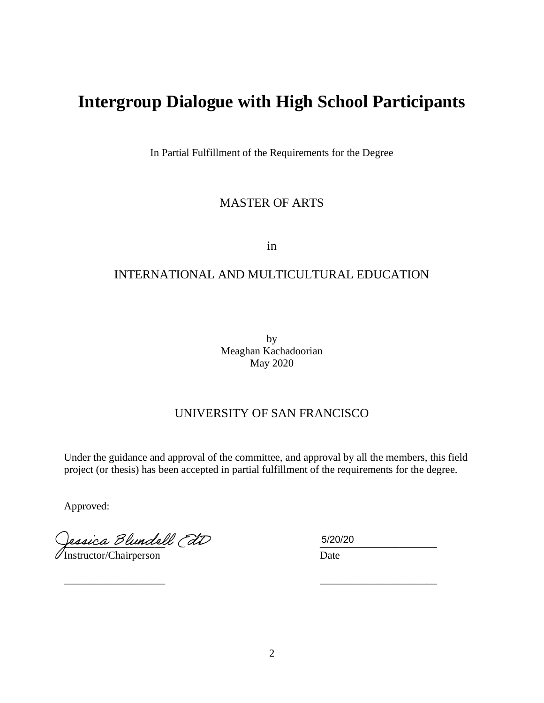# **Intergroup Dialogue with High School Participants**

In Partial Fulfillment of the Requirements for the Degree

# MASTER OF ARTS

in

# INTERNATIONAL AND MULTICULTURAL EDUCATION

by Meaghan Kachadoorian May 2020

# UNIVERSITY OF SAN FRANCISCO

Under the guidance and approval of the committee, and approval by all the members, this field project (or thesis) has been accepted in partial fulfillment of the requirements for the degree.

 $\frac{1}{2}$  , the contract of the contract of the contract of the contract of the contract of the contract of the contract of the contract of the contract of the contract of the contract of the contract of the contract of t

Approved:

fessica Dlundell (di Instructor/Chairperson Date

5/20/20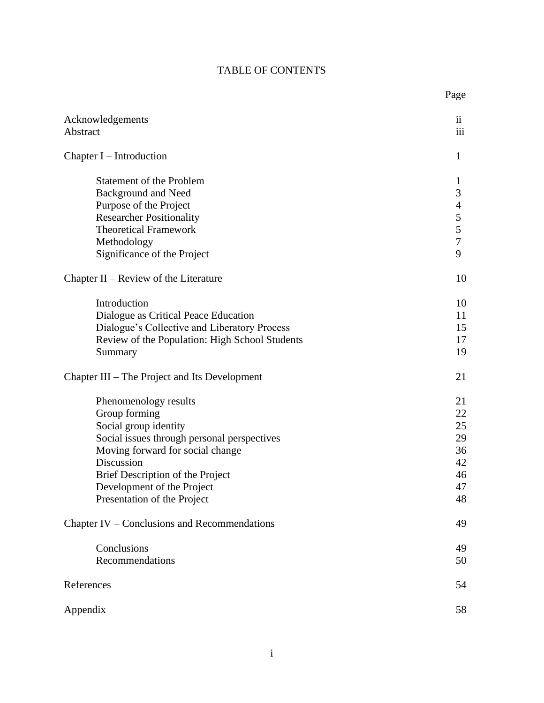# TABLE OF CONTENTS

Page

| Acknowledgements<br>Abstract                                                                                                                                                                                                                                      | $\mathbf{ii}$<br>iii                                                 |
|-------------------------------------------------------------------------------------------------------------------------------------------------------------------------------------------------------------------------------------------------------------------|----------------------------------------------------------------------|
| Chapter $I$ – Introduction                                                                                                                                                                                                                                        | 1                                                                    |
| <b>Statement of the Problem</b><br>Background and Need<br>Purpose of the Project<br><b>Researcher Positionality</b><br><b>Theoretical Framework</b><br>Methodology<br>Significance of the Project                                                                 | $\mathbf{1}$<br>3<br>$\overline{4}$<br>5<br>5<br>$\overline{7}$<br>9 |
| Chapter $II$ – Review of the Literature                                                                                                                                                                                                                           | 10                                                                   |
| Introduction<br>Dialogue as Critical Peace Education<br>Dialogue's Collective and Liberatory Process<br>Review of the Population: High School Students<br>Summary                                                                                                 | 10<br>11<br>15<br>17<br>19                                           |
| Chapter III – The Project and Its Development                                                                                                                                                                                                                     | 21                                                                   |
| Phenomenology results<br>Group forming<br>Social group identity<br>Social issues through personal perspectives<br>Moving forward for social change<br>Discussion<br>Brief Description of the Project<br>Development of the Project<br>Presentation of the Project | 21<br>22<br>25<br>29<br>36<br>42<br>46<br>47<br>48                   |
| Chapter IV – Conclusions and Recommendations                                                                                                                                                                                                                      | 49                                                                   |
| Conclusions<br>Recommendations                                                                                                                                                                                                                                    | 49<br>50                                                             |
| References                                                                                                                                                                                                                                                        | 54                                                                   |
| Appendix                                                                                                                                                                                                                                                          | 58                                                                   |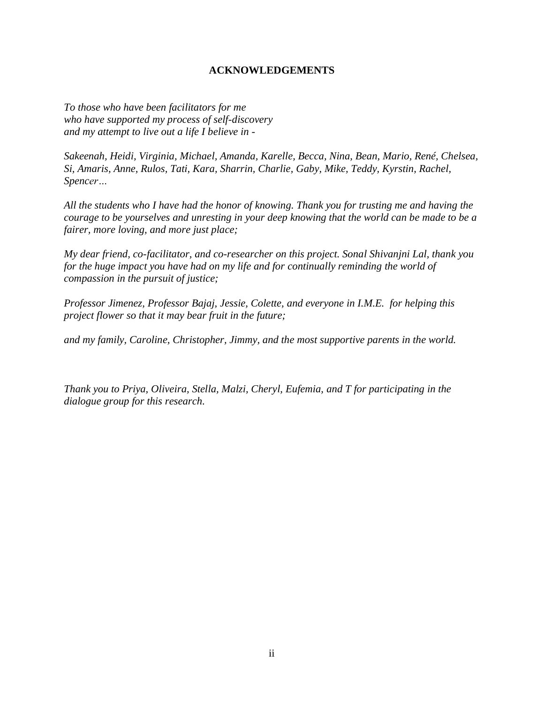# **ACKNOWLEDGEMENTS**

*To those who have been facilitators for me who have supported my process of self-discovery and my attempt to live out a life I believe in -*

*Sakeenah, Heidi, Virginia, Michael, Amanda, Karelle, Becca, Nina, Bean, Mario, René, Chelsea, Si, Amaris, Anne, Rulos, Tati, Kara, Sharrin, Charlie, Gaby, Mike, Teddy, Kyrstin, Rachel, Spencer…*

*All the students who I have had the honor of knowing. Thank you for trusting me and having the courage to be yourselves and unresting in your deep knowing that the world can be made to be a fairer, more loving, and more just place;*

*My dear friend, co-facilitator, and co-researcher on this project. Sonal Shivanjni Lal, thank you for the huge impact you have had on my life and for continually reminding the world of compassion in the pursuit of justice;*

*Professor Jimenez, Professor Bajaj, Jessie, Colette, and everyone in I.M.E. for helping this project flower so that it may bear fruit in the future;*

*and my family, Caroline, Christopher, Jimmy, and the most supportive parents in the world.*

*Thank you to Priya, Oliveira, Stella, Malzi, Cheryl, Eufemia, and T for participating in the dialogue group for this research.*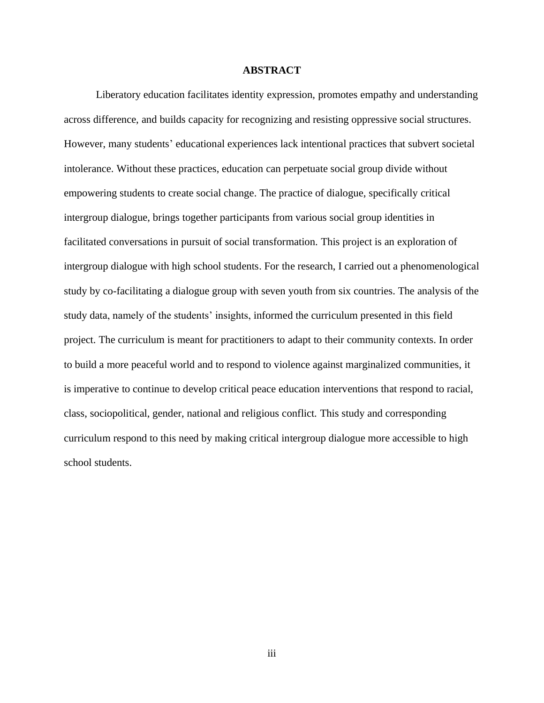#### **ABSTRACT**

Liberatory education facilitates identity expression, promotes empathy and understanding across difference, and builds capacity for recognizing and resisting oppressive social structures. However, many students' educational experiences lack intentional practices that subvert societal intolerance. Without these practices, education can perpetuate social group divide without empowering students to create social change. The practice of dialogue, specifically critical intergroup dialogue, brings together participants from various social group identities in facilitated conversations in pursuit of social transformation. This project is an exploration of intergroup dialogue with high school students. For the research, I carried out a phenomenological study by co-facilitating a dialogue group with seven youth from six countries. The analysis of the study data, namely of the students' insights, informed the curriculum presented in this field project. The curriculum is meant for practitioners to adapt to their community contexts. In order to build a more peaceful world and to respond to violence against marginalized communities, it is imperative to continue to develop critical peace education interventions that respond to racial, class, sociopolitical, gender, national and religious conflict. This study and corresponding curriculum respond to this need by making critical intergroup dialogue more accessible to high school students.

iii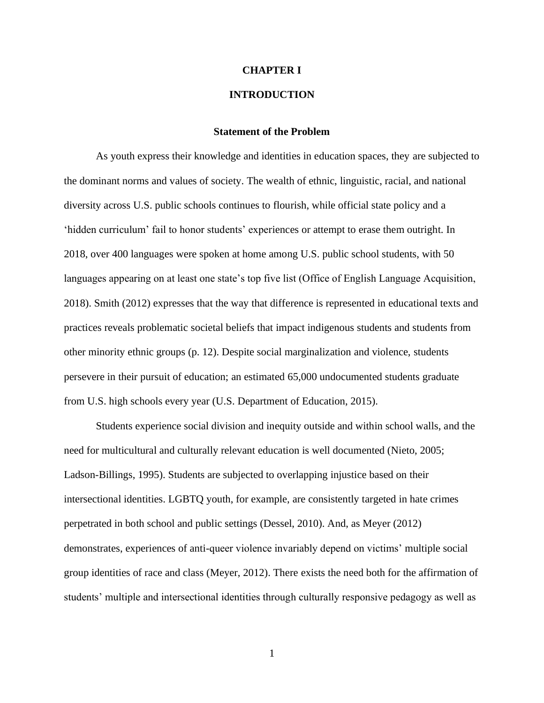#### **CHAPTER I**

# **INTRODUCTION**

#### **Statement of the Problem**

As youth express their knowledge and identities in education spaces, they are subjected to the dominant norms and values of society. The wealth of ethnic, linguistic, racial, and national diversity across U.S. public schools continues to flourish, while official state policy and a 'hidden curriculum' fail to honor students' experiences or attempt to erase them outright. In 2018, over 400 languages were spoken at home among U.S. public school students, with 50 languages appearing on at least one state's top five list (Office of English Language Acquisition, 2018). Smith (2012) expresses that the way that difference is represented in educational texts and practices reveals problematic societal beliefs that impact indigenous students and students from other minority ethnic groups (p. 12). Despite social marginalization and violence, students persevere in their pursuit of education; an estimated 65,000 undocumented students graduate from U.S. high schools every year (U.S. Department of Education, 2015).

Students experience social division and inequity outside and within school walls, and the need for multicultural and culturally relevant education is well documented (Nieto, 2005; Ladson-Billings, 1995). Students are subjected to overlapping injustice based on their intersectional identities. LGBTQ youth, for example, are consistently targeted in hate crimes perpetrated in both school and public settings (Dessel, 2010). And, as Meyer (2012) demonstrates, experiences of anti-queer violence invariably depend on victims' multiple social group identities of race and class (Meyer, 2012). There exists the need both for the affirmation of students' multiple and intersectional identities through culturally responsive pedagogy as well as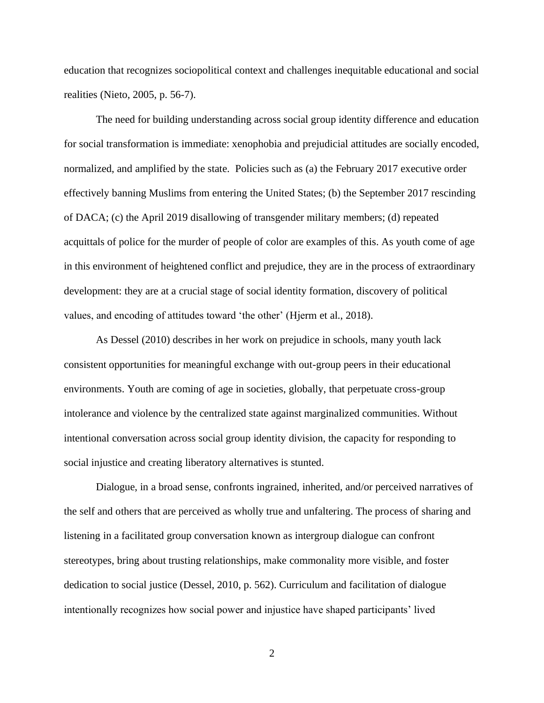education that recognizes sociopolitical context and challenges inequitable educational and social realities (Nieto, 2005, p. 56-7).

The need for building understanding across social group identity difference and education for social transformation is immediate: xenophobia and prejudicial attitudes are socially encoded, normalized, and amplified by the state. Policies such as (a) the February 2017 executive order effectively banning Muslims from entering the United States; (b) the September 2017 rescinding of DACA; (c) the April 2019 disallowing of transgender military members; (d) repeated acquittals of police for the murder of people of color are examples of this. As youth come of age in this environment of heightened conflict and prejudice, they are in the process of extraordinary development: they are at a crucial stage of social identity formation, discovery of political values, and encoding of attitudes toward 'the other' (Hjerm et al., 2018).

As Dessel (2010) describes in her work on prejudice in schools, many youth lack consistent opportunities for meaningful exchange with out-group peers in their educational environments. Youth are coming of age in societies, globally, that perpetuate cross-group intolerance and violence by the centralized state against marginalized communities. Without intentional conversation across social group identity division, the capacity for responding to social injustice and creating liberatory alternatives is stunted.

Dialogue, in a broad sense, confronts ingrained, inherited, and/or perceived narratives of the self and others that are perceived as wholly true and unfaltering. The process of sharing and listening in a facilitated group conversation known as intergroup dialogue can confront stereotypes, bring about trusting relationships, make commonality more visible, and foster dedication to social justice (Dessel, 2010, p. 562). Curriculum and facilitation of dialogue intentionally recognizes how social power and injustice have shaped participants' lived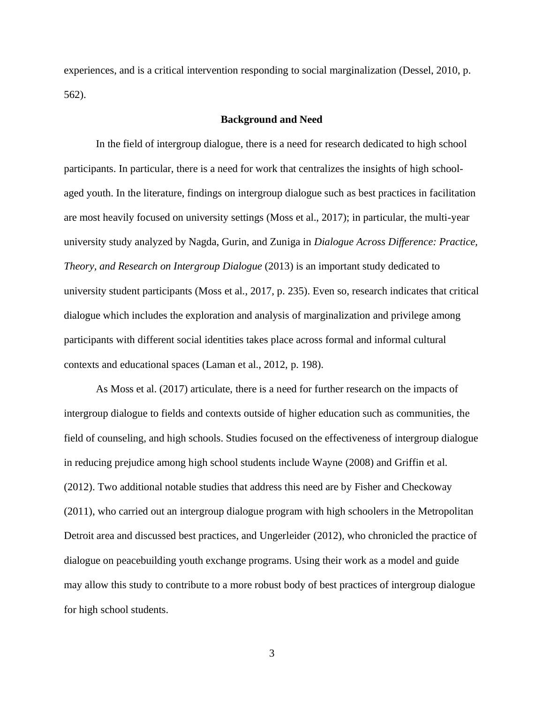experiences, and is a critical intervention responding to social marginalization (Dessel, 2010, p. 562).

## **Background and Need**

In the field of intergroup dialogue, there is a need for research dedicated to high school participants. In particular, there is a need for work that centralizes the insights of high schoolaged youth. In the literature, findings on intergroup dialogue such as best practices in facilitation are most heavily focused on university settings (Moss et al., 2017); in particular, the multi-year university study analyzed by Nagda, Gurin, and Zuniga in *Dialogue Across Difference: Practice, Theory, and Research on Intergroup Dialogue* (2013) is an important study dedicated to university student participants (Moss et al., 2017, p. 235). Even so, research indicates that critical dialogue which includes the exploration and analysis of marginalization and privilege among participants with different social identities takes place across formal and informal cultural contexts and educational spaces (Laman et al., 2012, p. 198).

As Moss et al. (2017) articulate, there is a need for further research on the impacts of intergroup dialogue to fields and contexts outside of higher education such as communities, the field of counseling, and high schools. Studies focused on the effectiveness of intergroup dialogue in reducing prejudice among high school students include Wayne (2008) and Griffin et al. (2012). Two additional notable studies that address this need are by Fisher and Checkoway (2011), who carried out an intergroup dialogue program with high schoolers in the Metropolitan Detroit area and discussed best practices, and Ungerleider (2012), who chronicled the practice of dialogue on peacebuilding youth exchange programs. Using their work as a model and guide may allow this study to contribute to a more robust body of best practices of intergroup dialogue for high school students.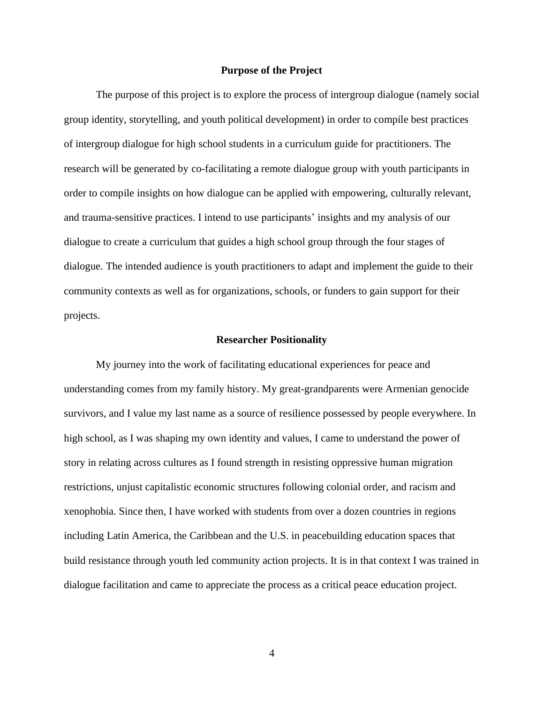### **Purpose of the Project**

The purpose of this project is to explore the process of intergroup dialogue (namely social group identity, storytelling, and youth political development) in order to compile best practices of intergroup dialogue for high school students in a curriculum guide for practitioners. The research will be generated by co-facilitating a remote dialogue group with youth participants in order to compile insights on how dialogue can be applied with empowering, culturally relevant, and trauma-sensitive practices. I intend to use participants' insights and my analysis of our dialogue to create a curriculum that guides a high school group through the four stages of dialogue. The intended audience is youth practitioners to adapt and implement the guide to their community contexts as well as for organizations, schools, or funders to gain support for their projects.

#### **Researcher Positionality**

My journey into the work of facilitating educational experiences for peace and understanding comes from my family history. My great-grandparents were Armenian genocide survivors, and I value my last name as a source of resilience possessed by people everywhere. In high school, as I was shaping my own identity and values, I came to understand the power of story in relating across cultures as I found strength in resisting oppressive human migration restrictions, unjust capitalistic economic structures following colonial order, and racism and xenophobia. Since then, I have worked with students from over a dozen countries in regions including Latin America, the Caribbean and the U.S. in peacebuilding education spaces that build resistance through youth led community action projects. It is in that context I was trained in dialogue facilitation and came to appreciate the process as a critical peace education project.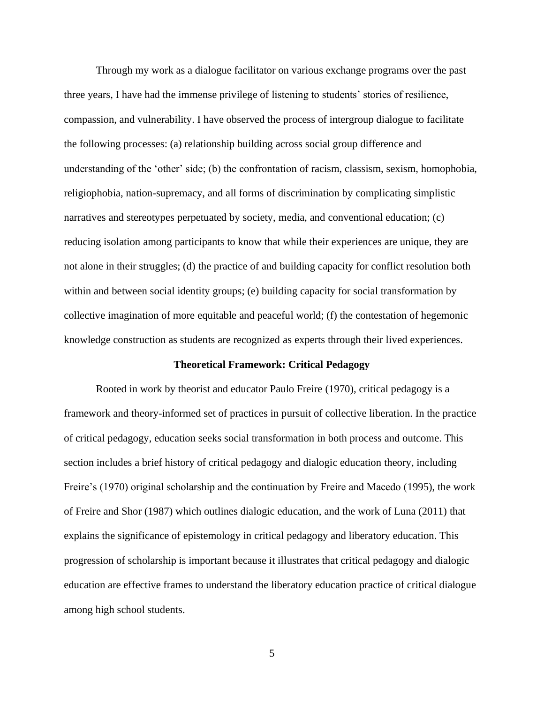Through my work as a dialogue facilitator on various exchange programs over the past three years, I have had the immense privilege of listening to students' stories of resilience, compassion, and vulnerability. I have observed the process of intergroup dialogue to facilitate the following processes: (a) relationship building across social group difference and understanding of the 'other' side; (b) the confrontation of racism, classism, sexism, homophobia, religiophobia, nation-supremacy, and all forms of discrimination by complicating simplistic narratives and stereotypes perpetuated by society, media, and conventional education; (c) reducing isolation among participants to know that while their experiences are unique, they are not alone in their struggles; (d) the practice of and building capacity for conflict resolution both within and between social identity groups; (e) building capacity for social transformation by collective imagination of more equitable and peaceful world; (f) the contestation of hegemonic knowledge construction as students are recognized as experts through their lived experiences.

#### **Theoretical Framework: Critical Pedagogy**

Rooted in work by theorist and educator Paulo Freire (1970), critical pedagogy is a framework and theory-informed set of practices in pursuit of collective liberation. In the practice of critical pedagogy, education seeks social transformation in both process and outcome. This section includes a brief history of critical pedagogy and dialogic education theory, including Freire's (1970) original scholarship and the continuation by Freire and Macedo (1995), the work of Freire and Shor (1987) which outlines dialogic education, and the work of Luna (2011) that explains the significance of epistemology in critical pedagogy and liberatory education. This progression of scholarship is important because it illustrates that critical pedagogy and dialogic education are effective frames to understand the liberatory education practice of critical dialogue among high school students.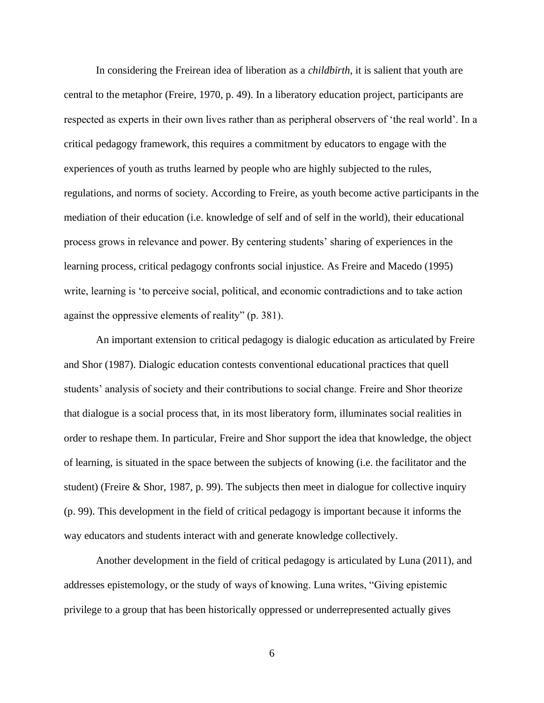In considering the Freirean idea of liberation as a *childbirth*, it is salient that youth are central to the metaphor (Freire, 1970, p. 49). In a liberatory education project, participants are respected as experts in their own lives rather than as peripheral observers of 'the real world'. In a critical pedagogy framework, this requires a commitment by educators to engage with the experiences of youth as truths learned by people who are highly subjected to the rules, regulations, and norms of society. According to Freire, as youth become active participants in the mediation of their education (i.e. knowledge of self and of self in the world), their educational process grows in relevance and power. By centering students' sharing of experiences in the learning process, critical pedagogy confronts social injustice. As Freire and Macedo (1995) write, learning is 'to perceive social, political, and economic contradictions and to take action against the oppressive elements of reality" (p. 381).

An important extension to critical pedagogy is dialogic education as articulated by Freire and Shor (1987). Dialogic education contests conventional educational practices that quell students' analysis of society and their contributions to social change. Freire and Shor theorize that dialogue is a social process that, in its most liberatory form, illuminates social realities in order to reshape them. In particular, Freire and Shor support the idea that knowledge, the object of learning, is situated in the space between the subjects of knowing (i.e. the facilitator and the student) (Freire & Shor, 1987, p. 99). The subjects then meet in dialogue for collective inquiry (p. 99). This development in the field of critical pedagogy is important because it informs the way educators and students interact with and generate knowledge collectively.

Another development in the field of critical pedagogy is articulated by Luna (2011), and addresses epistemology, or the study of ways of knowing. Luna writes, "Giving epistemic privilege to a group that has been historically oppressed or underrepresented actually gives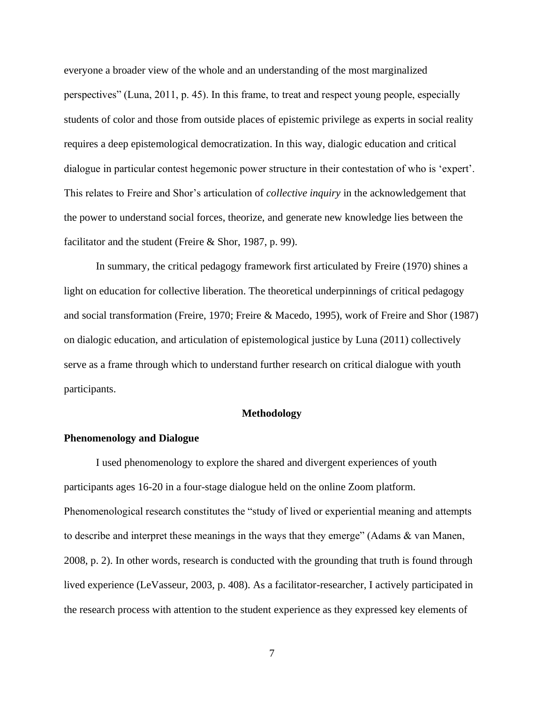everyone a broader view of the whole and an understanding of the most marginalized perspectives" (Luna, 2011, p. 45). In this frame, to treat and respect young people, especially students of color and those from outside places of epistemic privilege as experts in social reality requires a deep epistemological democratization. In this way, dialogic education and critical dialogue in particular contest hegemonic power structure in their contestation of who is 'expert'. This relates to Freire and Shor's articulation of *collective inquiry* in the acknowledgement that the power to understand social forces, theorize, and generate new knowledge lies between the facilitator and the student (Freire & Shor, 1987, p. 99).

In summary, the critical pedagogy framework first articulated by Freire (1970) shines a light on education for collective liberation. The theoretical underpinnings of critical pedagogy and social transformation (Freire, 1970; Freire & Macedo, 1995), work of Freire and Shor (1987) on dialogic education, and articulation of epistemological justice by Luna (2011) collectively serve as a frame through which to understand further research on critical dialogue with youth participants.

#### **Methodology**

#### **Phenomenology and Dialogue**

I used phenomenology to explore the shared and divergent experiences of youth participants ages 16-20 in a four-stage dialogue held on the online Zoom platform. Phenomenological research constitutes the "study of lived or experiential meaning and attempts to describe and interpret these meanings in the ways that they emerge" (Adams & van Manen, 2008, p. 2). In other words, research is conducted with the grounding that truth is found through lived experience (LeVasseur, 2003, p. 408). As a facilitator-researcher, I actively participated in the research process with attention to the student experience as they expressed key elements of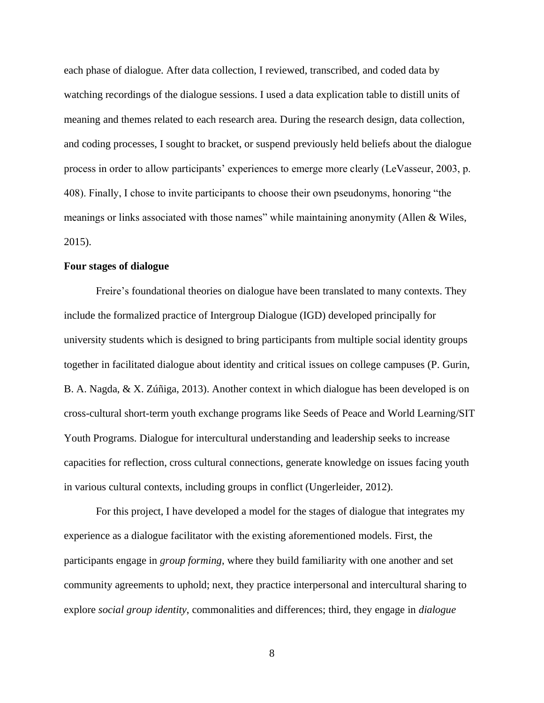each phase of dialogue. After data collection, I reviewed, transcribed, and coded data by watching recordings of the dialogue sessions. I used a data explication table to distill units of meaning and themes related to each research area. During the research design, data collection, and coding processes, I sought to bracket, or suspend previously held beliefs about the dialogue process in order to allow participants' experiences to emerge more clearly (LeVasseur, 2003, p. 408). Finally, I chose to invite participants to choose their own pseudonyms, honoring "the meanings or links associated with those names" while maintaining anonymity (Allen & Wiles, 2015).

## **Four stages of dialogue**

Freire's foundational theories on dialogue have been translated to many contexts. They include the formalized practice of Intergroup Dialogue (IGD) developed principally for university students which is designed to bring participants from multiple social identity groups together in facilitated dialogue about identity and critical issues on college campuses (P. Gurin, B. A. Nagda, & X. Zúñiga, 2013). Another context in which dialogue has been developed is on cross-cultural short-term youth exchange programs like Seeds of Peace and World Learning/SIT Youth Programs. Dialogue for intercultural understanding and leadership seeks to increase capacities for reflection, cross cultural connections, generate knowledge on issues facing youth in various cultural contexts, including groups in conflict (Ungerleider, 2012).

For this project, I have developed a model for the stages of dialogue that integrates my experience as a dialogue facilitator with the existing aforementioned models. First, the participants engage in *group forming*, where they build familiarity with one another and set community agreements to uphold; next, they practice interpersonal and intercultural sharing to explore *social group identity*, commonalities and differences; third, they engage in *dialogue*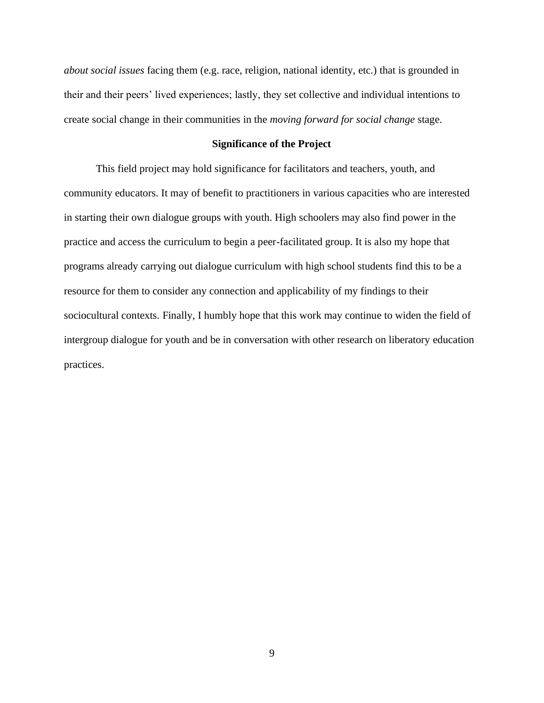*about social issues* facing them (e.g. race, religion, national identity, etc.) that is grounded in their and their peers' lived experiences; lastly, they set collective and individual intentions to create social change in their communities in the *moving forward for social change* stage.

## **Significance of the Project**

This field project may hold significance for facilitators and teachers, youth, and community educators. It may of benefit to practitioners in various capacities who are interested in starting their own dialogue groups with youth. High schoolers may also find power in the practice and access the curriculum to begin a peer-facilitated group. It is also my hope that programs already carrying out dialogue curriculum with high school students find this to be a resource for them to consider any connection and applicability of my findings to their sociocultural contexts. Finally, I humbly hope that this work may continue to widen the field of intergroup dialogue for youth and be in conversation with other research on liberatory education practices.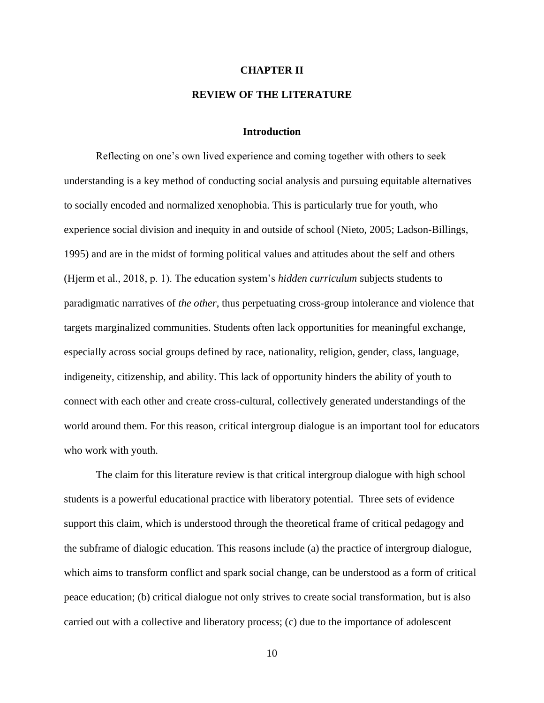#### **CHAPTER II**

## **REVIEW OF THE LITERATURE**

#### **Introduction**

Reflecting on one's own lived experience and coming together with others to seek understanding is a key method of conducting social analysis and pursuing equitable alternatives to socially encoded and normalized xenophobia. This is particularly true for youth, who experience social division and inequity in and outside of school (Nieto, 2005; Ladson-Billings, 1995) and are in the midst of forming political values and attitudes about the self and others (Hjerm et al., 2018, p. 1). The education system's *hidden curriculum* subjects students to paradigmatic narratives of *the other*, thus perpetuating cross-group intolerance and violence that targets marginalized communities. Students often lack opportunities for meaningful exchange, especially across social groups defined by race, nationality, religion, gender, class, language, indigeneity, citizenship, and ability. This lack of opportunity hinders the ability of youth to connect with each other and create cross-cultural, collectively generated understandings of the world around them. For this reason, critical intergroup dialogue is an important tool for educators who work with youth.

The claim for this literature review is that critical intergroup dialogue with high school students is a powerful educational practice with liberatory potential. Three sets of evidence support this claim, which is understood through the theoretical frame of critical pedagogy and the subframe of dialogic education. This reasons include (a) the practice of intergroup dialogue, which aims to transform conflict and spark social change, can be understood as a form of critical peace education; (b) critical dialogue not only strives to create social transformation, but is also carried out with a collective and liberatory process; (c) due to the importance of adolescent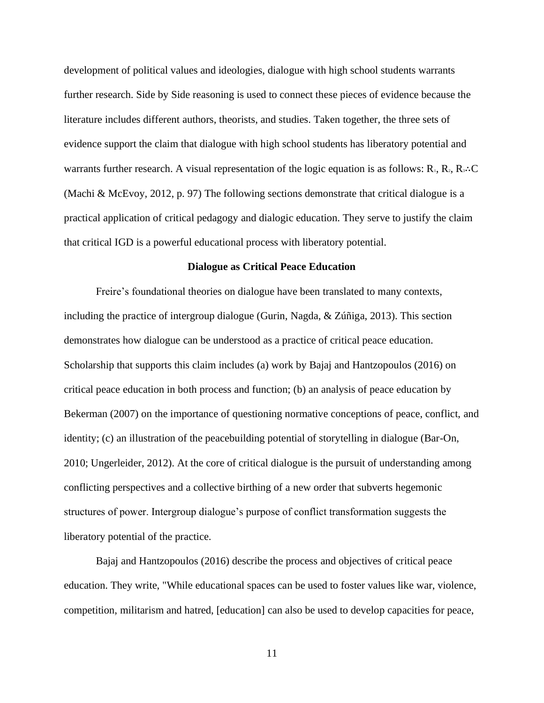development of political values and ideologies, dialogue with high school students warrants further research. Side by Side reasoning is used to connect these pieces of evidence because the literature includes different authors, theorists, and studies. Taken together, the three sets of evidence support the claim that dialogue with high school students has liberatory potential and warrants further research. A visual representation of the logic equation is as follows:  $R_1, R_2, R_3$ . C (Machi & McEvoy, 2012, p. 97) The following sections demonstrate that critical dialogue is a practical application of critical pedagogy and dialogic education. They serve to justify the claim that critical IGD is a powerful educational process with liberatory potential.

#### **Dialogue as Critical Peace Education**

Freire's foundational theories on dialogue have been translated to many contexts, including the practice of intergroup dialogue (Gurin, Nagda, & Zúñiga, 2013). This section demonstrates how dialogue can be understood as a practice of critical peace education. Scholarship that supports this claim includes (a) work by Bajaj and Hantzopoulos (2016) on critical peace education in both process and function; (b) an analysis of peace education by Bekerman (2007) on the importance of questioning normative conceptions of peace, conflict, and identity; (c) an illustration of the peacebuilding potential of storytelling in dialogue (Bar-On, 2010; Ungerleider, 2012). At the core of critical dialogue is the pursuit of understanding among conflicting perspectives and a collective birthing of a new order that subverts hegemonic structures of power. Intergroup dialogue's purpose of conflict transformation suggests the liberatory potential of the practice.

Bajaj and Hantzopoulos (2016) describe the process and objectives of critical peace education. They write, "While educational spaces can be used to foster values like war, violence, competition, militarism and hatred, [education] can also be used to develop capacities for peace,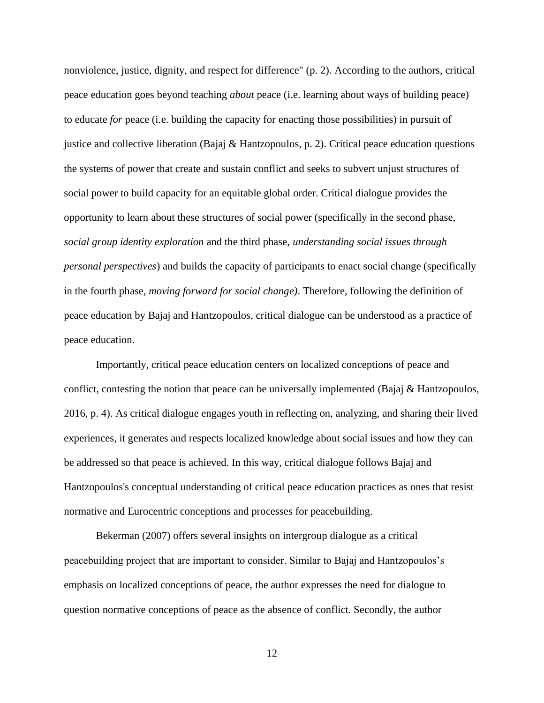nonviolence, justice, dignity, and respect for difference" (p. 2). According to the authors, critical peace education goes beyond teaching *about* peace (i.e. learning about ways of building peace) to educate *for* peace (i.e. building the capacity for enacting those possibilities) in pursuit of justice and collective liberation (Bajaj & Hantzopoulos, p. 2). Critical peace education questions the systems of power that create and sustain conflict and seeks to subvert unjust structures of social power to build capacity for an equitable global order. Critical dialogue provides the opportunity to learn about these structures of social power (specifically in the second phase, *social group identity exploration* and the third phase, *understanding social issues through personal perspectives*) and builds the capacity of participants to enact social change (specifically in the fourth phase, *moving forward for social change)*. Therefore, following the definition of peace education by Bajaj and Hantzopoulos, critical dialogue can be understood as a practice of peace education.

Importantly, critical peace education centers on localized conceptions of peace and conflict, contesting the notion that peace can be universally implemented (Bajaj & Hantzopoulos, 2016, p. 4). As critical dialogue engages youth in reflecting on, analyzing, and sharing their lived experiences, it generates and respects localized knowledge about social issues and how they can be addressed so that peace is achieved. In this way, critical dialogue follows Bajaj and Hantzopoulos's conceptual understanding of critical peace education practices as ones that resist normative and Eurocentric conceptions and processes for peacebuilding.

Bekerman (2007) offers several insights on intergroup dialogue as a critical peacebuilding project that are important to consider. Similar to Bajaj and Hantzopoulos's emphasis on localized conceptions of peace, the author expresses the need for dialogue to question normative conceptions of peace as the absence of conflict. Secondly, the author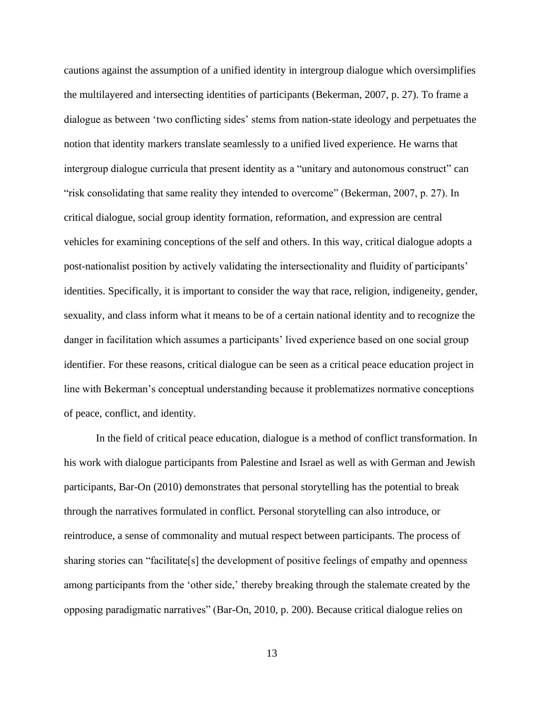cautions against the assumption of a unified identity in intergroup dialogue which oversimplifies the multilayered and intersecting identities of participants (Bekerman, 2007, p. 27). To frame a dialogue as between 'two conflicting sides' stems from nation-state ideology and perpetuates the notion that identity markers translate seamlessly to a unified lived experience. He warns that intergroup dialogue curricula that present identity as a "unitary and autonomous construct" can "risk consolidating that same reality they intended to overcome" (Bekerman, 2007, p. 27). In critical dialogue, social group identity formation, reformation, and expression are central vehicles for examining conceptions of the self and others. In this way, critical dialogue adopts a post-nationalist position by actively validating the intersectionality and fluidity of participants' identities. Specifically, it is important to consider the way that race, religion, indigeneity, gender, sexuality, and class inform what it means to be of a certain national identity and to recognize the danger in facilitation which assumes a participants' lived experience based on one social group identifier. For these reasons, critical dialogue can be seen as a critical peace education project in line with Bekerman's conceptual understanding because it problematizes normative conceptions of peace, conflict, and identity.

In the field of critical peace education, dialogue is a method of conflict transformation. In his work with dialogue participants from Palestine and Israel as well as with German and Jewish participants, Bar-On (2010) demonstrates that personal storytelling has the potential to break through the narratives formulated in conflict. Personal storytelling can also introduce, or reintroduce, a sense of commonality and mutual respect between participants. The process of sharing stories can "facilitate[s] the development of positive feelings of empathy and openness among participants from the 'other side,' thereby breaking through the stalemate created by the opposing paradigmatic narratives" (Bar-On, 2010, p. 200). Because critical dialogue relies on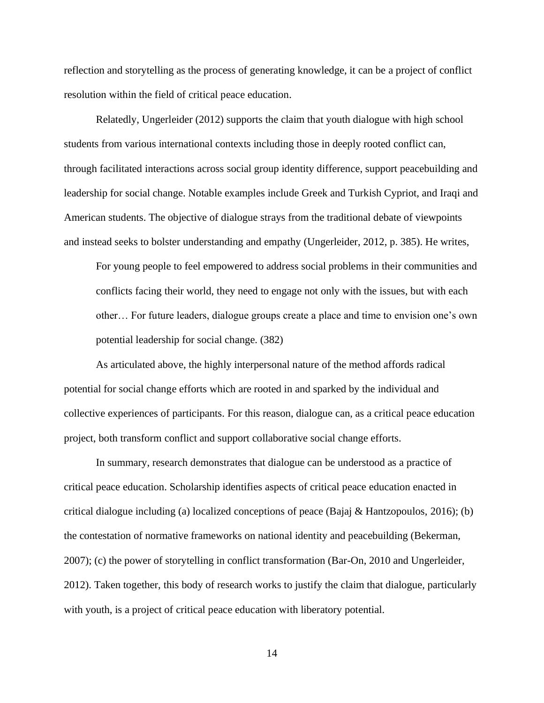reflection and storytelling as the process of generating knowledge, it can be a project of conflict resolution within the field of critical peace education.

Relatedly, Ungerleider (2012) supports the claim that youth dialogue with high school students from various international contexts including those in deeply rooted conflict can, through facilitated interactions across social group identity difference, support peacebuilding and leadership for social change. Notable examples include Greek and Turkish Cypriot, and Iraqi and American students. The objective of dialogue strays from the traditional debate of viewpoints and instead seeks to bolster understanding and empathy (Ungerleider, 2012, p. 385). He writes,

For young people to feel empowered to address social problems in their communities and conflicts facing their world, they need to engage not only with the issues, but with each other… For future leaders, dialogue groups create a place and time to envision one's own potential leadership for social change. (382)

As articulated above, the highly interpersonal nature of the method affords radical potential for social change efforts which are rooted in and sparked by the individual and collective experiences of participants. For this reason, dialogue can, as a critical peace education project, both transform conflict and support collaborative social change efforts.

In summary, research demonstrates that dialogue can be understood as a practice of critical peace education. Scholarship identifies aspects of critical peace education enacted in critical dialogue including (a) localized conceptions of peace (Bajaj & Hantzopoulos, 2016); (b) the contestation of normative frameworks on national identity and peacebuilding (Bekerman, 2007); (c) the power of storytelling in conflict transformation (Bar-On, 2010 and Ungerleider, 2012). Taken together, this body of research works to justify the claim that dialogue, particularly with youth, is a project of critical peace education with liberatory potential.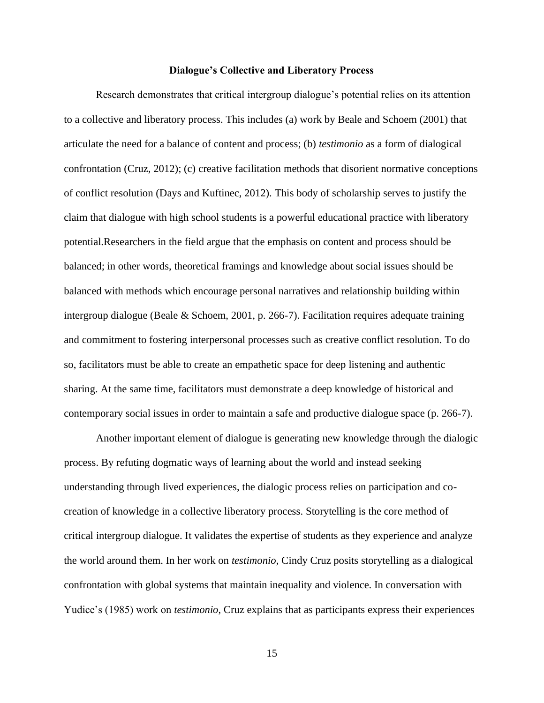#### **Dialogue's Collective and Liberatory Process**

Research demonstrates that critical intergroup dialogue's potential relies on its attention to a collective and liberatory process. This includes (a) work by Beale and Schoem (2001) that articulate the need for a balance of content and process; (b) *testimonio* as a form of dialogical confrontation (Cruz, 2012); (c) creative facilitation methods that disorient normative conceptions of conflict resolution (Days and Kuftinec, 2012). This body of scholarship serves to justify the claim that dialogue with high school students is a powerful educational practice with liberatory potential.Researchers in the field argue that the emphasis on content and process should be balanced; in other words, theoretical framings and knowledge about social issues should be balanced with methods which encourage personal narratives and relationship building within intergroup dialogue (Beale & Schoem, 2001, p. 266-7). Facilitation requires adequate training and commitment to fostering interpersonal processes such as creative conflict resolution. To do so, facilitators must be able to create an empathetic space for deep listening and authentic sharing. At the same time, facilitators must demonstrate a deep knowledge of historical and contemporary social issues in order to maintain a safe and productive dialogue space (p. 266-7).

Another important element of dialogue is generating new knowledge through the dialogic process. By refuting dogmatic ways of learning about the world and instead seeking understanding through lived experiences, the dialogic process relies on participation and cocreation of knowledge in a collective liberatory process. Storytelling is the core method of critical intergroup dialogue. It validates the expertise of students as they experience and analyze the world around them. In her work on *testimonio*, Cindy Cruz posits storytelling as a dialogical confrontation with global systems that maintain inequality and violence. In conversation with Yudice's (1985) work on *testimonio*, Cruz explains that as participants express their experiences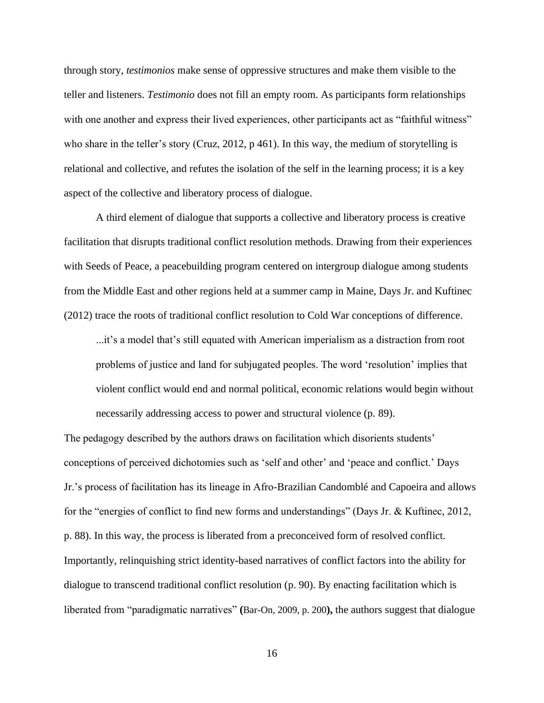through story, *testimonios* make sense of oppressive structures and make them visible to the teller and listeners. *Testimonio* does not fill an empty room. As participants form relationships with one another and express their lived experiences, other participants act as "faithful witness" who share in the teller's story (Cruz, 2012, p 461). In this way, the medium of storytelling is relational and collective, and refutes the isolation of the self in the learning process; it is a key aspect of the collective and liberatory process of dialogue.

A third element of dialogue that supports a collective and liberatory process is creative facilitation that disrupts traditional conflict resolution methods. Drawing from their experiences with Seeds of Peace, a peacebuilding program centered on intergroup dialogue among students from the Middle East and other regions held at a summer camp in Maine, Days Jr. and Kuftinec (2012) trace the roots of traditional conflict resolution to Cold War conceptions of difference.

...it's a model that's still equated with American imperialism as a distraction from root problems of justice and land for subjugated peoples. The word 'resolution' implies that violent conflict would end and normal political, economic relations would begin without necessarily addressing access to power and structural violence (p. 89).

The pedagogy described by the authors draws on facilitation which disorients students' conceptions of perceived dichotomies such as 'self and other' and 'peace and conflict.' Days Jr.'s process of facilitation has its lineage in Afro-Brazilian Candomblé and Capoeira and allows for the "energies of conflict to find new forms and understandings" (Days Jr. & Kuftinec, 2012, p. 88). In this way, the process is liberated from a preconceived form of resolved conflict. Importantly, relinquishing strict identity-based narratives of conflict factors into the ability for dialogue to transcend traditional conflict resolution (p. 90). By enacting facilitation which is liberated from "paradigmatic narratives" **(**Bar-On, 2009, p. 200**),** the authors suggest that dialogue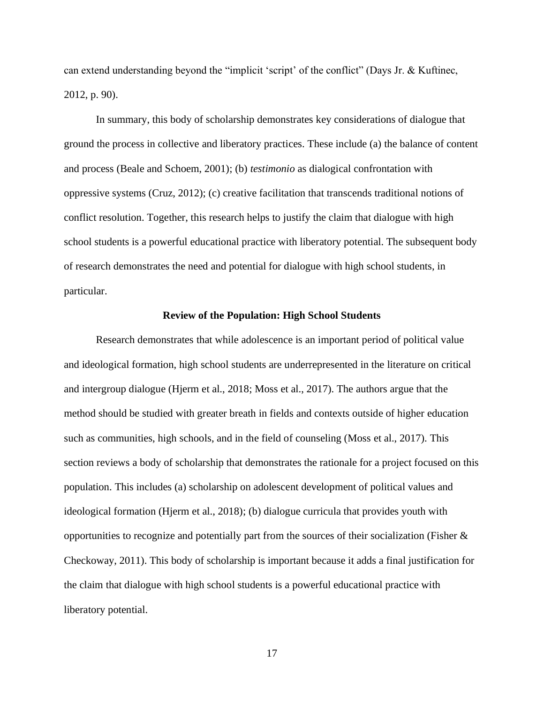can extend understanding beyond the "implicit 'script' of the conflict" (Days Jr. & Kuftinec, 2012, p. 90).

In summary, this body of scholarship demonstrates key considerations of dialogue that ground the process in collective and liberatory practices. These include (a) the balance of content and process (Beale and Schoem, 2001); (b) *testimonio* as dialogical confrontation with oppressive systems (Cruz, 2012); (c) creative facilitation that transcends traditional notions of conflict resolution. Together, this research helps to justify the claim that dialogue with high school students is a powerful educational practice with liberatory potential. The subsequent body of research demonstrates the need and potential for dialogue with high school students, in particular.

# **Review of the Population: High School Students**

Research demonstrates that while adolescence is an important period of political value and ideological formation, high school students are underrepresented in the literature on critical and intergroup dialogue (Hjerm et al., 2018; Moss et al., 2017). The authors argue that the method should be studied with greater breath in fields and contexts outside of higher education such as communities, high schools, and in the field of counseling (Moss et al., 2017). This section reviews a body of scholarship that demonstrates the rationale for a project focused on this population. This includes (a) scholarship on adolescent development of political values and ideological formation (Hjerm et al., 2018); (b) dialogue curricula that provides youth with opportunities to recognize and potentially part from the sources of their socialization (Fisher  $\&$ Checkoway, 2011). This body of scholarship is important because it adds a final justification for the claim that dialogue with high school students is a powerful educational practice with liberatory potential.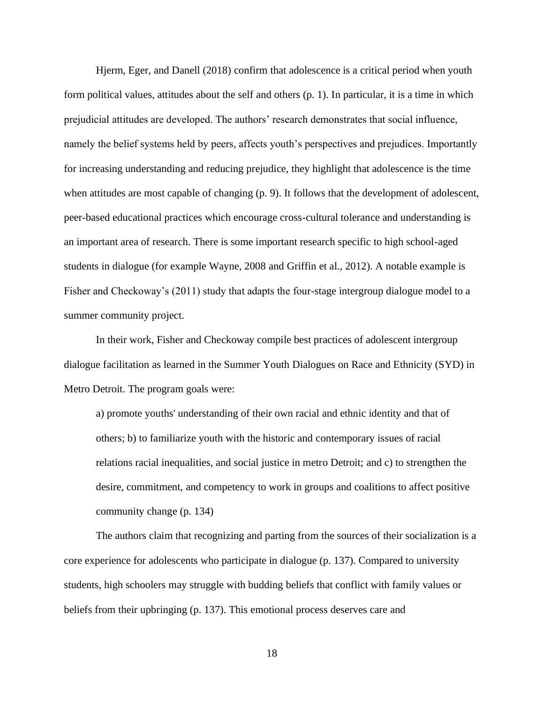Hjerm, Eger, and Danell (2018) confirm that adolescence is a critical period when youth form political values, attitudes about the self and others (p. 1). In particular, it is a time in which prejudicial attitudes are developed. The authors' research demonstrates that social influence, namely the belief systems held by peers, affects youth's perspectives and prejudices. Importantly for increasing understanding and reducing prejudice, they highlight that adolescence is the time when attitudes are most capable of changing (p. 9). It follows that the development of adolescent, peer-based educational practices which encourage cross-cultural tolerance and understanding is an important area of research. There is some important research specific to high school-aged students in dialogue (for example Wayne, 2008 and Griffin et al., 2012). A notable example is Fisher and Checkoway's (2011) study that adapts the four-stage intergroup dialogue model to a summer community project.

In their work, Fisher and Checkoway compile best practices of adolescent intergroup dialogue facilitation as learned in the Summer Youth Dialogues on Race and Ethnicity (SYD) in Metro Detroit. The program goals were:

a) promote youths' understanding of their own racial and ethnic identity and that of others; b) to familiarize youth with the historic and contemporary issues of racial relations racial inequalities, and social justice in metro Detroit; and c) to strengthen the desire, commitment, and competency to work in groups and coalitions to affect positive community change (p. 134)

The authors claim that recognizing and parting from the sources of their socialization is a core experience for adolescents who participate in dialogue (p. 137). Compared to university students, high schoolers may struggle with budding beliefs that conflict with family values or beliefs from their upbringing (p. 137). This emotional process deserves care and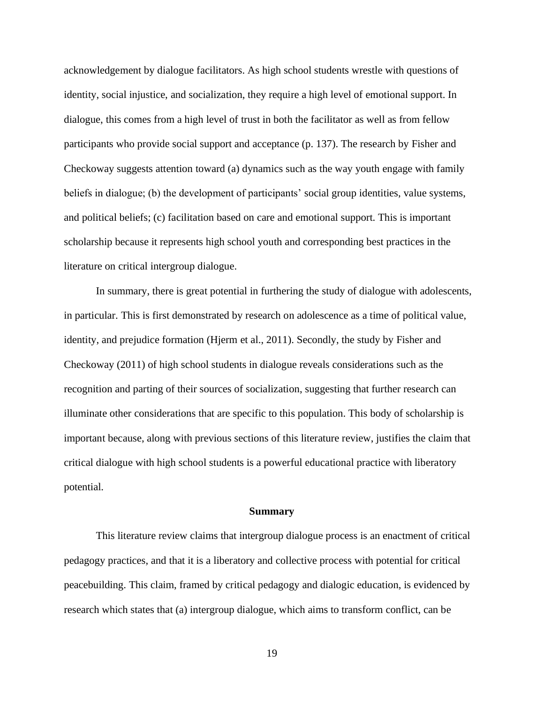acknowledgement by dialogue facilitators. As high school students wrestle with questions of identity, social injustice, and socialization, they require a high level of emotional support. In dialogue, this comes from a high level of trust in both the facilitator as well as from fellow participants who provide social support and acceptance (p. 137). The research by Fisher and Checkoway suggests attention toward (a) dynamics such as the way youth engage with family beliefs in dialogue; (b) the development of participants' social group identities, value systems, and political beliefs; (c) facilitation based on care and emotional support. This is important scholarship because it represents high school youth and corresponding best practices in the literature on critical intergroup dialogue.

In summary, there is great potential in furthering the study of dialogue with adolescents, in particular. This is first demonstrated by research on adolescence as a time of political value, identity, and prejudice formation (Hjerm et al., 2011). Secondly, the study by Fisher and Checkoway (2011) of high school students in dialogue reveals considerations such as the recognition and parting of their sources of socialization, suggesting that further research can illuminate other considerations that are specific to this population. This body of scholarship is important because, along with previous sections of this literature review, justifies the claim that critical dialogue with high school students is a powerful educational practice with liberatory potential.

#### **Summary**

This literature review claims that intergroup dialogue process is an enactment of critical pedagogy practices, and that it is a liberatory and collective process with potential for critical peacebuilding. This claim, framed by critical pedagogy and dialogic education, is evidenced by research which states that (a) intergroup dialogue, which aims to transform conflict, can be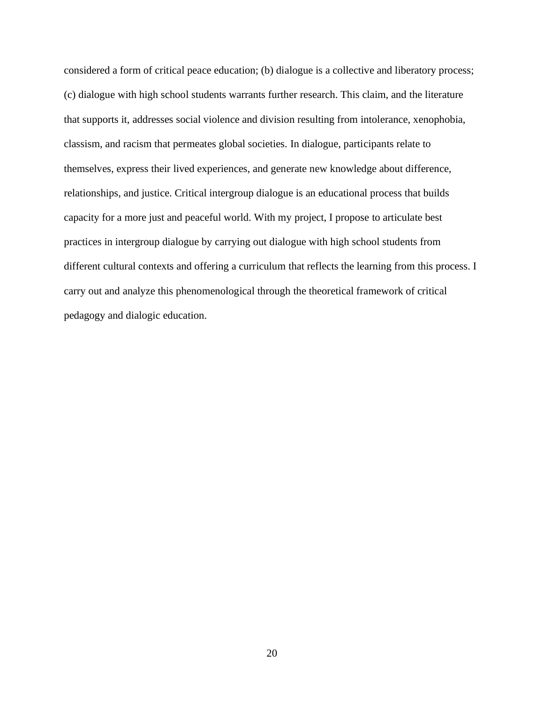considered a form of critical peace education; (b) dialogue is a collective and liberatory process; (c) dialogue with high school students warrants further research. This claim, and the literature that supports it, addresses social violence and division resulting from intolerance, xenophobia, classism, and racism that permeates global societies. In dialogue, participants relate to themselves, express their lived experiences, and generate new knowledge about difference, relationships, and justice. Critical intergroup dialogue is an educational process that builds capacity for a more just and peaceful world. With my project, I propose to articulate best practices in intergroup dialogue by carrying out dialogue with high school students from different cultural contexts and offering a curriculum that reflects the learning from this process. I carry out and analyze this phenomenological through the theoretical framework of critical pedagogy and dialogic education.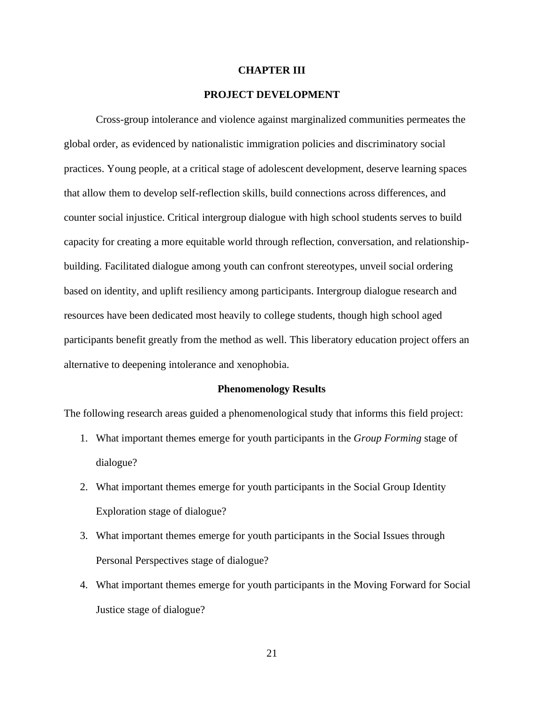#### **CHAPTER III**

#### **PROJECT DEVELOPMENT**

Cross-group intolerance and violence against marginalized communities permeates the global order, as evidenced by nationalistic immigration policies and discriminatory social practices. Young people, at a critical stage of adolescent development, deserve learning spaces that allow them to develop self-reflection skills, build connections across differences, and counter social injustice. Critical intergroup dialogue with high school students serves to build capacity for creating a more equitable world through reflection, conversation, and relationshipbuilding. Facilitated dialogue among youth can confront stereotypes, unveil social ordering based on identity, and uplift resiliency among participants. Intergroup dialogue research and resources have been dedicated most heavily to college students, though high school aged participants benefit greatly from the method as well. This liberatory education project offers an alternative to deepening intolerance and xenophobia.

#### **Phenomenology Results**

The following research areas guided a phenomenological study that informs this field project:

- 1. What important themes emerge for youth participants in the *Group Forming* stage of dialogue?
- 2. What important themes emerge for youth participants in the Social Group Identity Exploration stage of dialogue?
- 3. What important themes emerge for youth participants in the Social Issues through Personal Perspectives stage of dialogue?
- 4. What important themes emerge for youth participants in the Moving Forward for Social Justice stage of dialogue?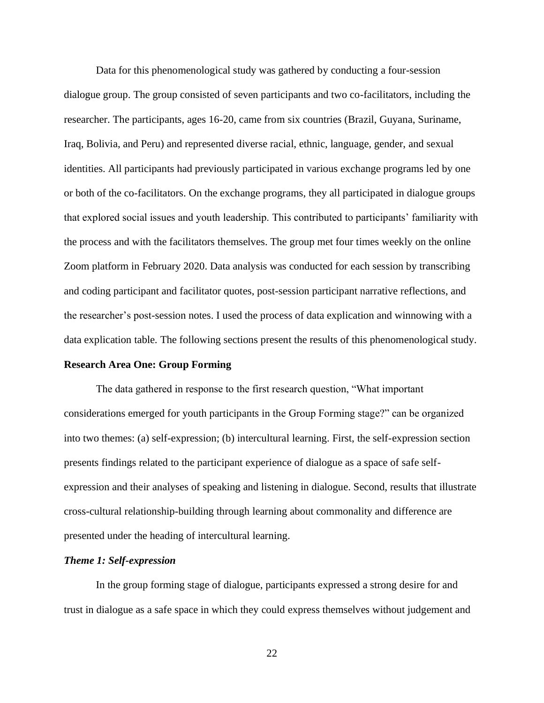Data for this phenomenological study was gathered by conducting a four-session dialogue group. The group consisted of seven participants and two co-facilitators, including the researcher. The participants, ages 16-20, came from six countries (Brazil, Guyana, Suriname, Iraq, Bolivia, and Peru) and represented diverse racial, ethnic, language, gender, and sexual identities. All participants had previously participated in various exchange programs led by one or both of the co-facilitators. On the exchange programs, they all participated in dialogue groups that explored social issues and youth leadership. This contributed to participants' familiarity with the process and with the facilitators themselves. The group met four times weekly on the online Zoom platform in February 2020. Data analysis was conducted for each session by transcribing and coding participant and facilitator quotes, post-session participant narrative reflections, and the researcher's post-session notes. I used the process of data explication and winnowing with a data explication table. The following sections present the results of this phenomenological study.

#### **Research Area One: Group Forming**

The data gathered in response to the first research question, "What important considerations emerged for youth participants in the Group Forming stage?" can be organized into two themes: (a) self-expression; (b) intercultural learning. First, the self-expression section presents findings related to the participant experience of dialogue as a space of safe selfexpression and their analyses of speaking and listening in dialogue. Second, results that illustrate cross-cultural relationship-building through learning about commonality and difference are presented under the heading of intercultural learning.

#### *Theme 1: Self-expression*

 In the group forming stage of dialogue, participants expressed a strong desire for and trust in dialogue as a safe space in which they could express themselves without judgement and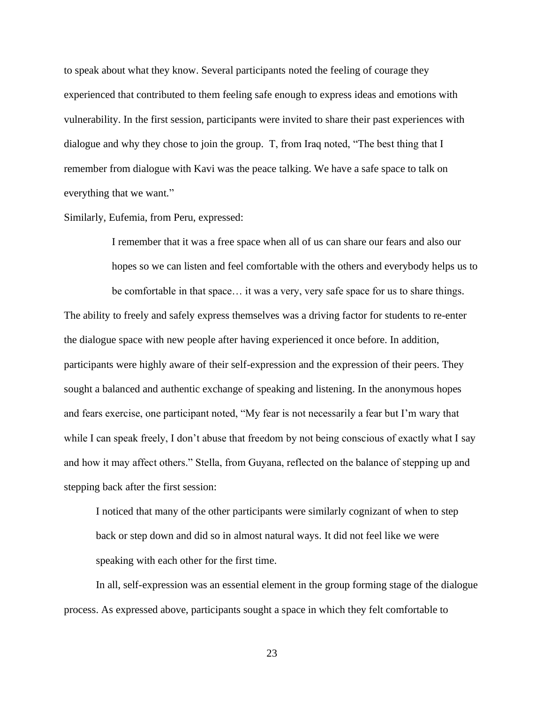to speak about what they know. Several participants noted the feeling of courage they experienced that contributed to them feeling safe enough to express ideas and emotions with vulnerability. In the first session, participants were invited to share their past experiences with dialogue and why they chose to join the group. T, from Iraq noted, "The best thing that I remember from dialogue with Kavi was the peace talking. We have a safe space to talk on everything that we want*.*"

Similarly, Eufemia, from Peru, expressed:

I remember that it was a free space when all of us can share our fears and also our hopes so we can listen and feel comfortable with the others and everybody helps us to be comfortable in that space… it was a very, very safe space for us to share things*.* The ability to freely and safely express themselves was a driving factor for students to re-enter the dialogue space with new people after having experienced it once before. In addition, participants were highly aware of their self-expression and the expression of their peers. They sought a balanced and authentic exchange of speaking and listening. In the anonymous hopes and fears exercise, one participant noted, "My fear is not necessarily a fear but I'm wary that while I can speak freely, I don't abuse that freedom by not being conscious of exactly what I say and how it may affect others." Stella, from Guyana, reflected on the balance of stepping up and stepping back after the first session:

I noticed that many of the other participants were similarly cognizant of when to step back or step down and did so in almost natural ways. It did not feel like we were speaking with each other for the first time.

In all, self-expression was an essential element in the group forming stage of the dialogue process. As expressed above, participants sought a space in which they felt comfortable to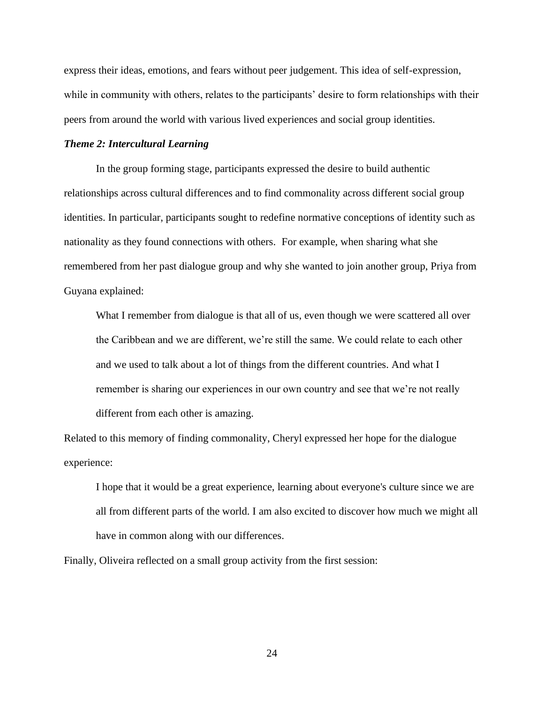express their ideas, emotions, and fears without peer judgement. This idea of self-expression, while in community with others, relates to the participants' desire to form relationships with their peers from around the world with various lived experiences and social group identities.

#### *Theme 2: Intercultural Learning*

 In the group forming stage, participants expressed the desire to build authentic relationships across cultural differences and to find commonality across different social group identities. In particular, participants sought to redefine normative conceptions of identity such as nationality as they found connections with others. For example, when sharing what she remembered from her past dialogue group and why she wanted to join another group, Priya from Guyana explained:

What I remember from dialogue is that all of us, even though we were scattered all over the Caribbean and we are different, we're still the same. We could relate to each other and we used to talk about a lot of things from the different countries. And what I remember is sharing our experiences in our own country and see that we're not really different from each other is amazing.

Related to this memory of finding commonality, Cheryl expressed her hope for the dialogue experience:

I hope that it would be a great experience, learning about everyone's culture since we are all from different parts of the world. I am also excited to discover how much we might all have in common along with our differences.

Finally, Oliveira reflected on a small group activity from the first session: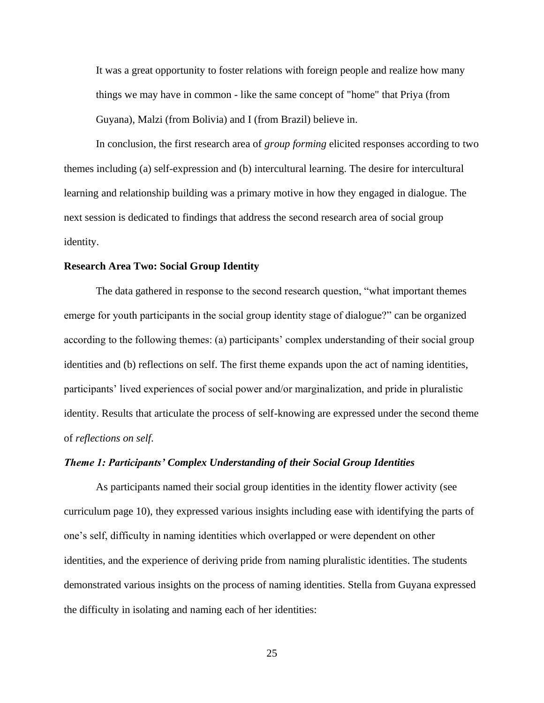It was a great opportunity to foster relations with foreign people and realize how many things we may have in common - like the same concept of "home" that Priya (from Guyana), Malzi (from Bolivia) and I (from Brazil) believe in.

In conclusion, the first research area of *group forming* elicited responses according to two themes including (a) self-expression and (b) intercultural learning. The desire for intercultural learning and relationship building was a primary motive in how they engaged in dialogue. The next session is dedicated to findings that address the second research area of social group identity.

## **Research Area Two: Social Group Identity**

The data gathered in response to the second research question, "what important themes emerge for youth participants in the social group identity stage of dialogue?" can be organized according to the following themes: (a) participants' complex understanding of their social group identities and (b) reflections on self. The first theme expands upon the act of naming identities, participants' lived experiences of social power and/or marginalization, and pride in pluralistic identity. Results that articulate the process of self-knowing are expressed under the second theme of *reflections on self*.

## *Theme 1: Participants' Complex Understanding of their Social Group Identities*

As participants named their social group identities in the identity flower activity (see curriculum page 10), they expressed various insights including ease with identifying the parts of one's self, difficulty in naming identities which overlapped or were dependent on other identities, and the experience of deriving pride from naming pluralistic identities. The students demonstrated various insights on the process of naming identities. Stella from Guyana expressed the difficulty in isolating and naming each of her identities: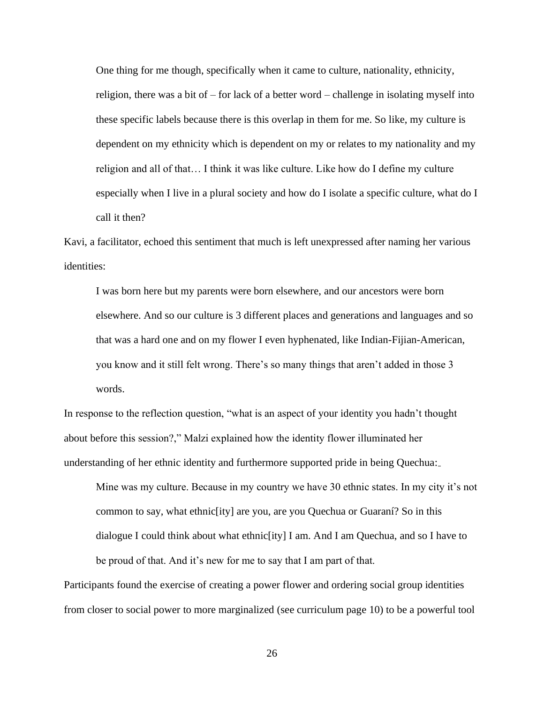One thing for me though, specifically when it came to culture, nationality, ethnicity, religion, there was a bit of  $-$  for lack of a better word  $-$  challenge in isolating myself into these specific labels because there is this overlap in them for me. So like, my culture is dependent on my ethnicity which is dependent on my or relates to my nationality and my religion and all of that… I think it was like culture. Like how do I define my culture especially when I live in a plural society and how do I isolate a specific culture, what do I call it then?

Kavi, a facilitator, echoed this sentiment that much is left unexpressed after naming her various identities:

I was born here but my parents were born elsewhere, and our ancestors were born elsewhere. And so our culture is 3 different places and generations and languages and so that was a hard one and on my flower I even hyphenated, like Indian-Fijian-American, you know and it still felt wrong. There's so many things that aren't added in those 3 words.

In response to the reflection question, "what is an aspect of your identity you hadn't thought about before this session?," Malzi explained how the identity flower illuminated her understanding of her ethnic identity and furthermore supported pride in being Quechua:

Mine was my culture. Because in my country we have 30 ethnic states. In my city it's not common to say, what ethnic[ity] are you, are you Quechua or Guaraní? So in this dialogue I could think about what ethnic[ity] I am. And I am Quechua, and so I have to be proud of that. And it's new for me to say that I am part of that.

Participants found the exercise of creating a power flower and ordering social group identities from closer to social power to more marginalized (see curriculum page 10) to be a powerful tool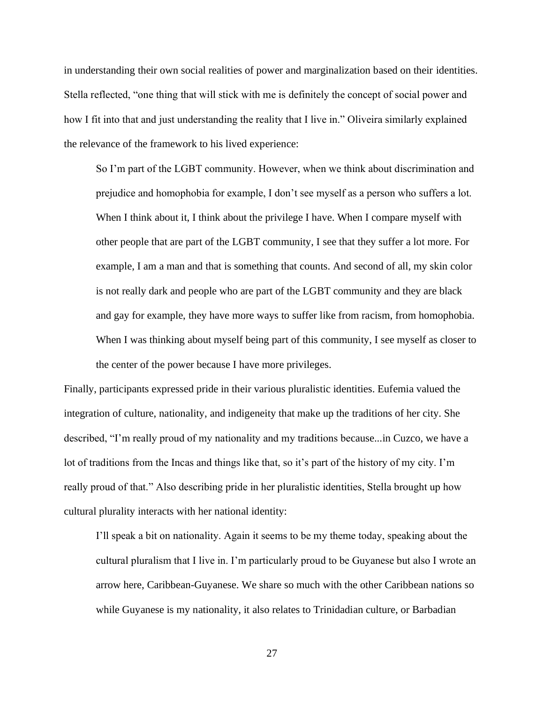in understanding their own social realities of power and marginalization based on their identities. Stella reflected, "one thing that will stick with me is definitely the concept of social power and how I fit into that and just understanding the reality that I live in." Oliveira similarly explained the relevance of the framework to his lived experience:

So I'm part of the LGBT community. However, when we think about discrimination and prejudice and homophobia for example, I don't see myself as a person who suffers a lot. When I think about it, I think about the privilege I have. When I compare myself with other people that are part of the LGBT community, I see that they suffer a lot more. For example, I am a man and that is something that counts. And second of all, my skin color is not really dark and people who are part of the LGBT community and they are black and gay for example, they have more ways to suffer like from racism, from homophobia. When I was thinking about myself being part of this community, I see myself as closer to the center of the power because I have more privileges.

Finally, participants expressed pride in their various pluralistic identities. Eufemia valued the integration of culture, nationality, and indigeneity that make up the traditions of her city. She described, "I'm really proud of my nationality and my traditions because...in Cuzco, we have a lot of traditions from the Incas and things like that, so it's part of the history of my city. I'm really proud of that." Also describing pride in her pluralistic identities, Stella brought up how cultural plurality interacts with her national identity:

I'll speak a bit on nationality. Again it seems to be my theme today, speaking about the cultural pluralism that I live in. I'm particularly proud to be Guyanese but also I wrote an arrow here, Caribbean-Guyanese. We share so much with the other Caribbean nations so while Guyanese is my nationality, it also relates to Trinidadian culture, or Barbadian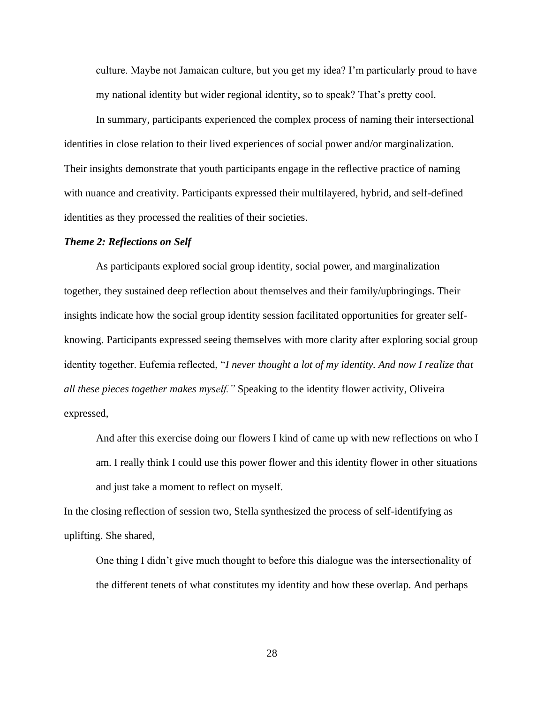culture. Maybe not Jamaican culture, but you get my idea? I'm particularly proud to have my national identity but wider regional identity, so to speak? That's pretty cool.

In summary, participants experienced the complex process of naming their intersectional identities in close relation to their lived experiences of social power and/or marginalization. Their insights demonstrate that youth participants engage in the reflective practice of naming with nuance and creativity. Participants expressed their multilayered, hybrid, and self-defined identities as they processed the realities of their societies.

#### *Theme 2: Reflections on Self*

As participants explored social group identity, social power, and marginalization together, they sustained deep reflection about themselves and their family/upbringings. Their insights indicate how the social group identity session facilitated opportunities for greater selfknowing. Participants expressed seeing themselves with more clarity after exploring social group identity together. Eufemia reflected, "*I never thought a lot of my identity. And now I realize that all these pieces together makes myself."* Speaking to the identity flower activity, Oliveira expressed,

And after this exercise doing our flowers I kind of came up with new reflections on who I am. I really think I could use this power flower and this identity flower in other situations and just take a moment to reflect on myself.

In the closing reflection of session two, Stella synthesized the process of self-identifying as uplifting. She shared,

One thing I didn't give much thought to before this dialogue was the intersectionality of the different tenets of what constitutes my identity and how these overlap. And perhaps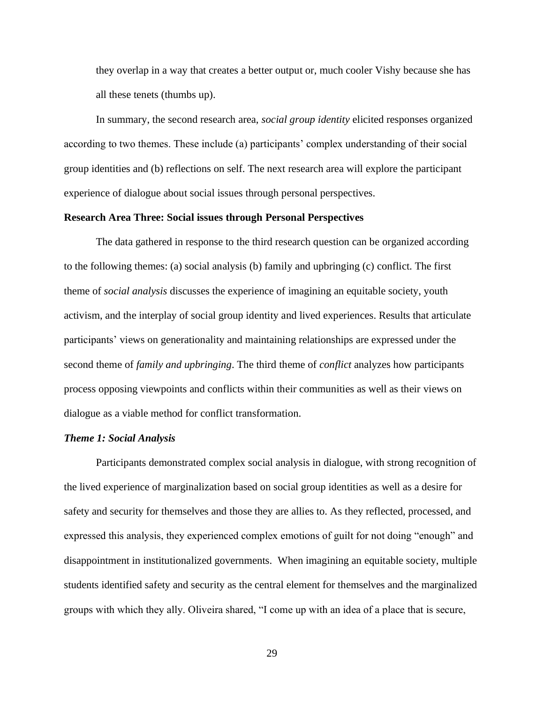they overlap in a way that creates a better output or, much cooler Vishy because she has all these tenets (thumbs up).

In summary, the second research area, *social group identity* elicited responses organized according to two themes. These include (a) participants' complex understanding of their social group identities and (b) reflections on self. The next research area will explore the participant experience of dialogue about social issues through personal perspectives.

#### **Research Area Three: Social issues through Personal Perspectives**

The data gathered in response to the third research question can be organized according to the following themes: (a) social analysis (b) family and upbringing (c) conflict. The first theme of *social analysis* discusses the experience of imagining an equitable society, youth activism, and the interplay of social group identity and lived experiences. Results that articulate participants' views on generationality and maintaining relationships are expressed under the second theme of *family and upbringing*. The third theme of *conflict* analyzes how participants process opposing viewpoints and conflicts within their communities as well as their views on dialogue as a viable method for conflict transformation.

#### *Theme 1: Social Analysis*

Participants demonstrated complex social analysis in dialogue, with strong recognition of the lived experience of marginalization based on social group identities as well as a desire for safety and security for themselves and those they are allies to. As they reflected, processed, and expressed this analysis, they experienced complex emotions of guilt for not doing "enough" and disappointment in institutionalized governments. When imagining an equitable society, multiple students identified safety and security as the central element for themselves and the marginalized groups with which they ally. Oliveira shared, "I come up with an idea of a place that is secure,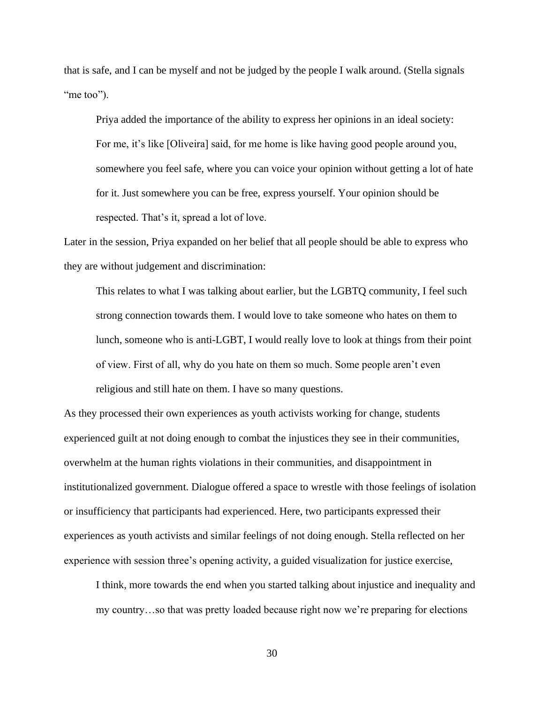that is safe, and I can be myself and not be judged by the people I walk around. (Stella signals "me too").

Priya added the importance of the ability to express her opinions in an ideal society: For me, it's like [Oliveira] said, for me home is like having good people around you, somewhere you feel safe, where you can voice your opinion without getting a lot of hate for it. Just somewhere you can be free, express yourself. Your opinion should be respected. That's it, spread a lot of love.

Later in the session, Priya expanded on her belief that all people should be able to express who they are without judgement and discrimination:

This relates to what I was talking about earlier, but the LGBTQ community, I feel such strong connection towards them. I would love to take someone who hates on them to lunch, someone who is anti-LGBT, I would really love to look at things from their point of view. First of all, why do you hate on them so much. Some people aren't even religious and still hate on them. I have so many questions.

As they processed their own experiences as youth activists working for change, students experienced guilt at not doing enough to combat the injustices they see in their communities, overwhelm at the human rights violations in their communities, and disappointment in institutionalized government. Dialogue offered a space to wrestle with those feelings of isolation or insufficiency that participants had experienced. Here, two participants expressed their experiences as youth activists and similar feelings of not doing enough. Stella reflected on her experience with session three's opening activity, a guided visualization for justice exercise,

I think, more towards the end when you started talking about injustice and inequality and my country…so that was pretty loaded because right now we're preparing for elections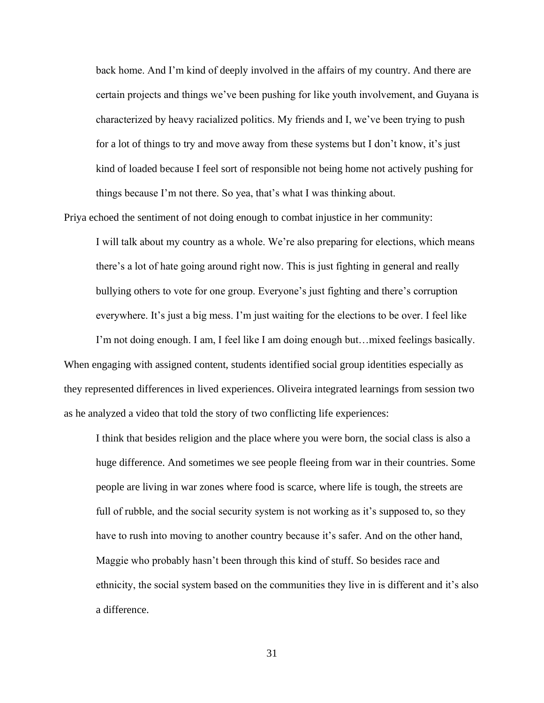back home. And I'm kind of deeply involved in the affairs of my country. And there are certain projects and things we've been pushing for like youth involvement, and Guyana is characterized by heavy racialized politics. My friends and I, we've been trying to push for a lot of things to try and move away from these systems but I don't know, it's just kind of loaded because I feel sort of responsible not being home not actively pushing for things because I'm not there. So yea, that's what I was thinking about.

Priya echoed the sentiment of not doing enough to combat injustice in her community:

I will talk about my country as a whole. We're also preparing for elections, which means there's a lot of hate going around right now. This is just fighting in general and really bullying others to vote for one group. Everyone's just fighting and there's corruption everywhere. It's just a big mess. I'm just waiting for the elections to be over. I feel like I'm not doing enough. I am, I feel like I am doing enough but…mixed feelings basically.

When engaging with assigned content, students identified social group identities especially as they represented differences in lived experiences. Oliveira integrated learnings from session two as he analyzed a video that told the story of two conflicting life experiences:

I think that besides religion and the place where you were born, the social class is also a huge difference. And sometimes we see people fleeing from war in their countries. Some people are living in war zones where food is scarce, where life is tough, the streets are full of rubble, and the social security system is not working as it's supposed to, so they have to rush into moving to another country because it's safer. And on the other hand, Maggie who probably hasn't been through this kind of stuff. So besides race and ethnicity, the social system based on the communities they live in is different and it's also a difference.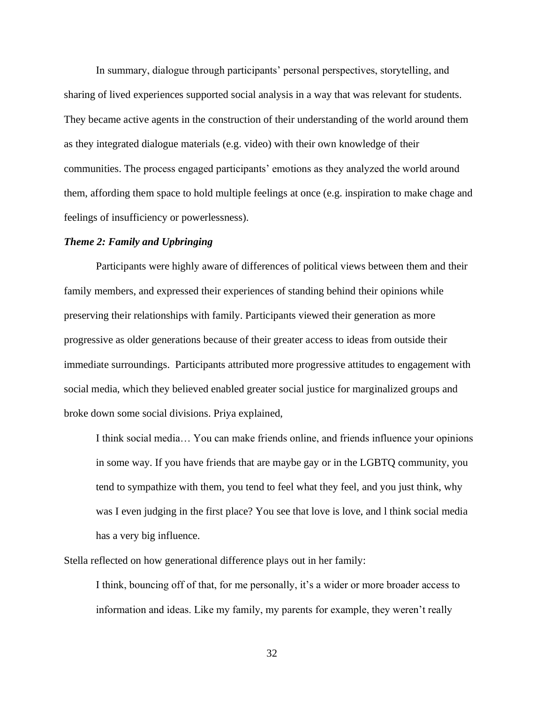In summary, dialogue through participants' personal perspectives, storytelling, and sharing of lived experiences supported social analysis in a way that was relevant for students. They became active agents in the construction of their understanding of the world around them as they integrated dialogue materials (e.g. video) with their own knowledge of their communities. The process engaged participants' emotions as they analyzed the world around them, affording them space to hold multiple feelings at once (e.g. inspiration to make chage and feelings of insufficiency or powerlessness).

### *Theme 2: Family and Upbringing*

 Participants were highly aware of differences of political views between them and their family members, and expressed their experiences of standing behind their opinions while preserving their relationships with family. Participants viewed their generation as more progressive as older generations because of their greater access to ideas from outside their immediate surroundings. Participants attributed more progressive attitudes to engagement with social media, which they believed enabled greater social justice for marginalized groups and broke down some social divisions. Priya explained,

I think social media… You can make friends online, and friends influence your opinions in some way. If you have friends that are maybe gay or in the LGBTQ community, you tend to sympathize with them, you tend to feel what they feel, and you just think, why was I even judging in the first place? You see that love is love, and l think social media has a very big influence.

Stella reflected on how generational difference plays out in her family:

I think, bouncing off of that, for me personally, it's a wider or more broader access to information and ideas. Like my family, my parents for example, they weren't really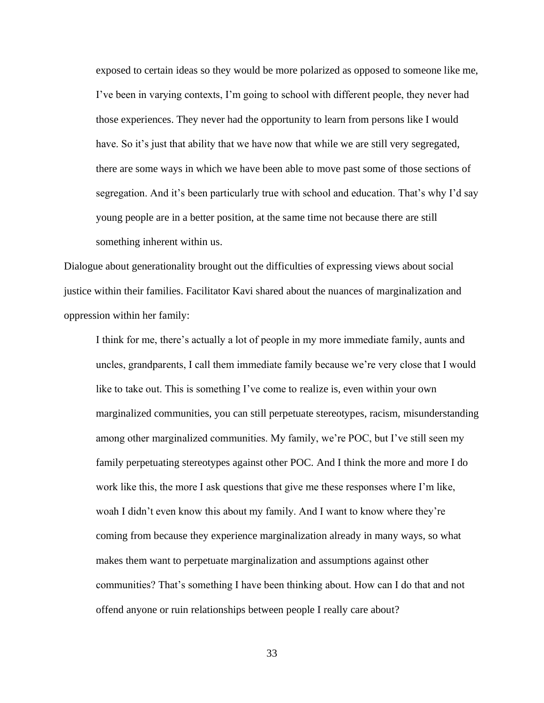exposed to certain ideas so they would be more polarized as opposed to someone like me, I've been in varying contexts, I'm going to school with different people, they never had those experiences. They never had the opportunity to learn from persons like I would have. So it's just that ability that we have now that while we are still very segregated, there are some ways in which we have been able to move past some of those sections of segregation. And it's been particularly true with school and education. That's why I'd say young people are in a better position, at the same time not because there are still something inherent within us.

Dialogue about generationality brought out the difficulties of expressing views about social justice within their families. Facilitator Kavi shared about the nuances of marginalization and oppression within her family:

I think for me, there's actually a lot of people in my more immediate family, aunts and uncles, grandparents, I call them immediate family because we're very close that I would like to take out. This is something I've come to realize is, even within your own marginalized communities, you can still perpetuate stereotypes, racism, misunderstanding among other marginalized communities. My family, we're POC, but I've still seen my family perpetuating stereotypes against other POC. And I think the more and more I do work like this, the more I ask questions that give me these responses where I'm like, woah I didn't even know this about my family. And I want to know where they're coming from because they experience marginalization already in many ways, so what makes them want to perpetuate marginalization and assumptions against other communities? That's something I have been thinking about. How can I do that and not offend anyone or ruin relationships between people I really care about?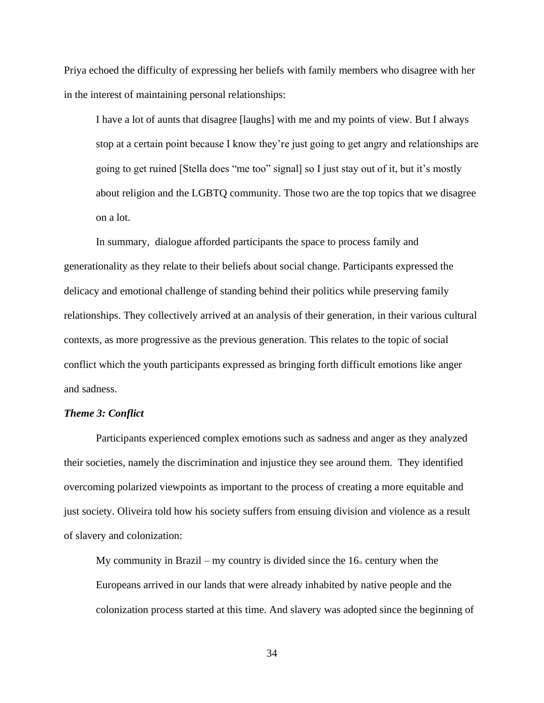Priya echoed the difficulty of expressing her beliefs with family members who disagree with her in the interest of maintaining personal relationships:

I have a lot of aunts that disagree [laughs] with me and my points of view. But I always stop at a certain point because I know they're just going to get angry and relationships are going to get ruined [Stella does "me too" signal] so I just stay out of it, but it's mostly about religion and the LGBTQ community. Those two are the top topics that we disagree on a lot.

In summary, dialogue afforded participants the space to process family and generationality as they relate to their beliefs about social change. Participants expressed the delicacy and emotional challenge of standing behind their politics while preserving family relationships. They collectively arrived at an analysis of their generation, in their various cultural contexts, as more progressive as the previous generation. This relates to the topic of social conflict which the youth participants expressed as bringing forth difficult emotions like anger and sadness.

### *Theme 3: Conflict*

Participants experienced complex emotions such as sadness and anger as they analyzed their societies, namely the discrimination and injustice they see around them. They identified overcoming polarized viewpoints as important to the process of creating a more equitable and just society. Oliveira told how his society suffers from ensuing division and violence as a result of slavery and colonization:

My community in Brazil – my country is divided since the  $16<sub>th</sub>$  century when the Europeans arrived in our lands that were already inhabited by native people and the colonization process started at this time. And slavery was adopted since the beginning of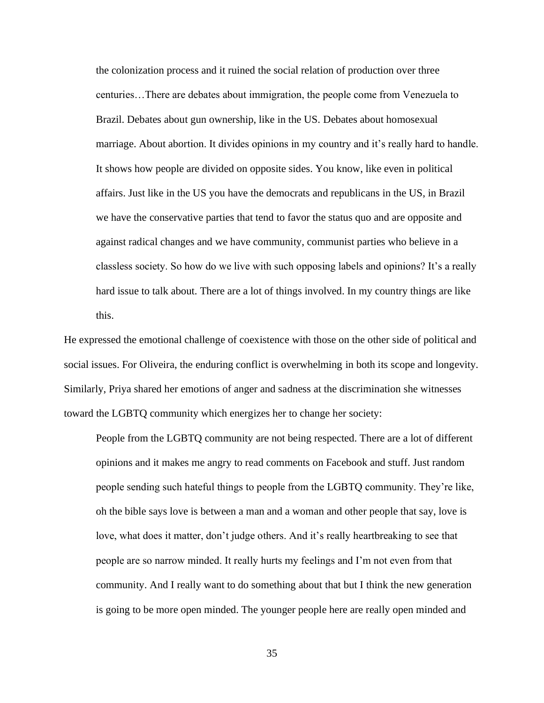the colonization process and it ruined the social relation of production over three centuries…There are debates about immigration, the people come from Venezuela to Brazil. Debates about gun ownership, like in the US. Debates about homosexual marriage. About abortion. It divides opinions in my country and it's really hard to handle. It shows how people are divided on opposite sides. You know, like even in political affairs. Just like in the US you have the democrats and republicans in the US, in Brazil we have the conservative parties that tend to favor the status quo and are opposite and against radical changes and we have community, communist parties who believe in a classless society. So how do we live with such opposing labels and opinions? It's a really hard issue to talk about. There are a lot of things involved. In my country things are like this.

He expressed the emotional challenge of coexistence with those on the other side of political and social issues. For Oliveira, the enduring conflict is overwhelming in both its scope and longevity. Similarly, Priya shared her emotions of anger and sadness at the discrimination she witnesses toward the LGBTQ community which energizes her to change her society:

People from the LGBTQ community are not being respected. There are a lot of different opinions and it makes me angry to read comments on Facebook and stuff. Just random people sending such hateful things to people from the LGBTQ community. They're like, oh the bible says love is between a man and a woman and other people that say, love is love, what does it matter, don't judge others. And it's really heartbreaking to see that people are so narrow minded. It really hurts my feelings and I'm not even from that community. And I really want to do something about that but I think the new generation is going to be more open minded. The younger people here are really open minded and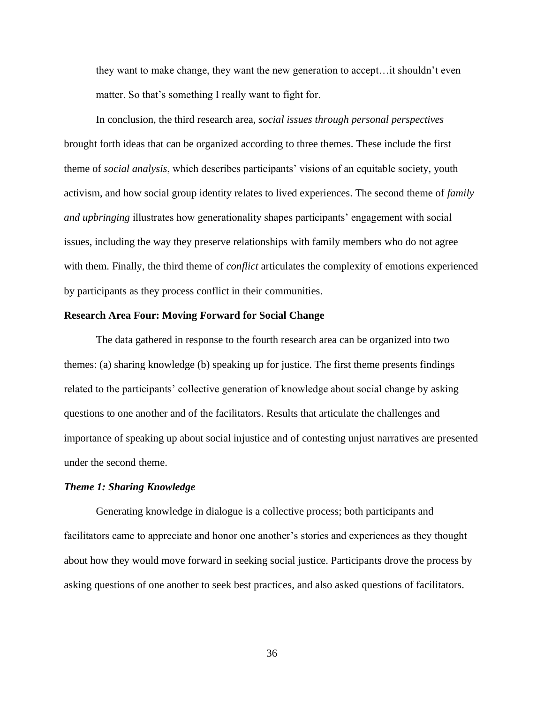they want to make change, they want the new generation to accept…it shouldn't even matter. So that's something I really want to fight for.

In conclusion, the third research area, *social issues through personal perspectives* brought forth ideas that can be organized according to three themes. These include the first theme of *social analysis*, which describes participants' visions of an equitable society, youth activism, and how social group identity relates to lived experiences. The second theme of *family and upbringing* illustrates how generationality shapes participants' engagement with social issues, including the way they preserve relationships with family members who do not agree with them. Finally, the third theme of *conflict* articulates the complexity of emotions experienced by participants as they process conflict in their communities.

### **Research Area Four: Moving Forward for Social Change**

The data gathered in response to the fourth research area can be organized into two themes: (a) sharing knowledge (b) speaking up for justice. The first theme presents findings related to the participants' collective generation of knowledge about social change by asking questions to one another and of the facilitators. Results that articulate the challenges and importance of speaking up about social injustice and of contesting unjust narratives are presented under the second theme.

### *Theme 1: Sharing Knowledge*

 Generating knowledge in dialogue is a collective process; both participants and facilitators came to appreciate and honor one another's stories and experiences as they thought about how they would move forward in seeking social justice. Participants drove the process by asking questions of one another to seek best practices, and also asked questions of facilitators.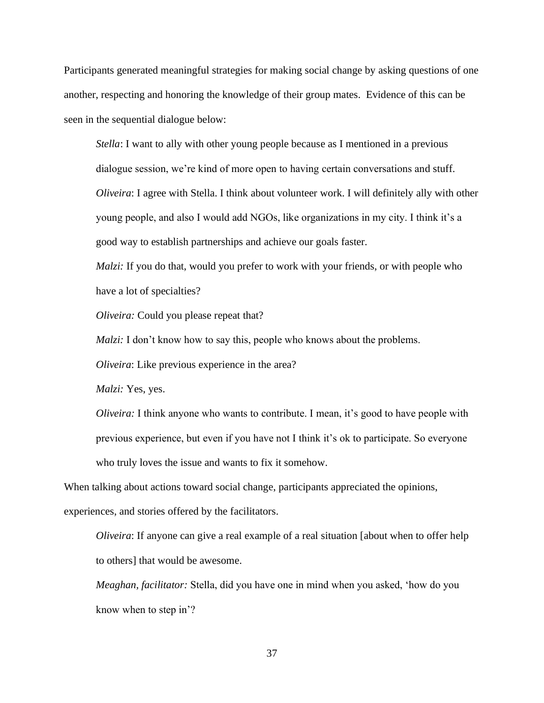Participants generated meaningful strategies for making social change by asking questions of one another, respecting and honoring the knowledge of their group mates. Evidence of this can be seen in the sequential dialogue below:

*Stella*: I want to ally with other young people because as I mentioned in a previous dialogue session, we're kind of more open to having certain conversations and stuff. *Oliveira*: I agree with Stella. I think about volunteer work. I will definitely ally with other young people, and also I would add NGOs, like organizations in my city. I think it's a good way to establish partnerships and achieve our goals faster.

*Malzi:* If you do that, would you prefer to work with your friends, or with people who have a lot of specialties?

*Oliveira:* Could you please repeat that?

*Malzi:* I don't know how to say this, people who knows about the problems.

*Oliveira*: Like previous experience in the area?

*Malzi:* Yes, yes.

*Oliveira:* I think anyone who wants to contribute. I mean, it's good to have people with previous experience, but even if you have not I think it's ok to participate. So everyone who truly loves the issue and wants to fix it somehow.

When talking about actions toward social change, participants appreciated the opinions, experiences, and stories offered by the facilitators.

*Oliveira*: If anyone can give a real example of a real situation [about when to offer help to others] that would be awesome.

*Meaghan, facilitator:* Stella, did you have one in mind when you asked, 'how do you know when to step in'?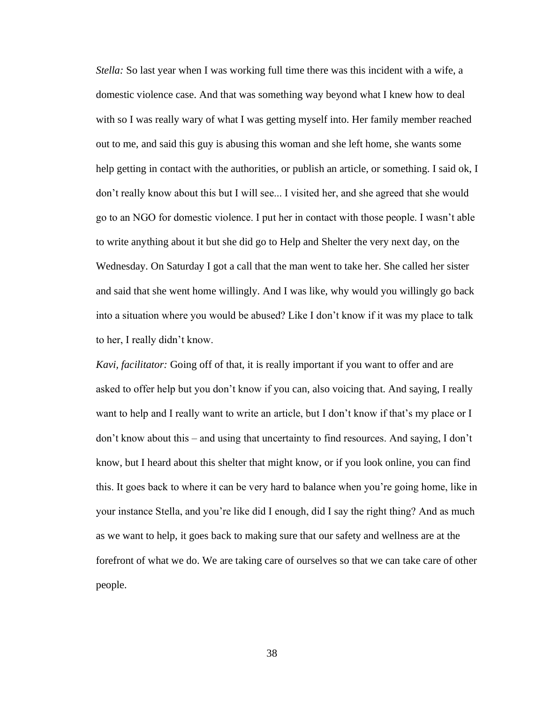*Stella:* So last year when I was working full time there was this incident with a wife, a domestic violence case. And that was something way beyond what I knew how to deal with so I was really wary of what I was getting myself into. Her family member reached out to me, and said this guy is abusing this woman and she left home, she wants some help getting in contact with the authorities, or publish an article, or something. I said ok, I don't really know about this but I will see... I visited her, and she agreed that she would go to an NGO for domestic violence. I put her in contact with those people. I wasn't able to write anything about it but she did go to Help and Shelter the very next day, on the Wednesday. On Saturday I got a call that the man went to take her. She called her sister and said that she went home willingly. And I was like, why would you willingly go back into a situation where you would be abused? Like I don't know if it was my place to talk to her, I really didn't know.

*Kavi, facilitator:* Going off of that, it is really important if you want to offer and are asked to offer help but you don't know if you can, also voicing that. And saying, I really want to help and I really want to write an article, but I don't know if that's my place or I don't know about this – and using that uncertainty to find resources. And saying, I don't know, but I heard about this shelter that might know, or if you look online, you can find this. It goes back to where it can be very hard to balance when you're going home, like in your instance Stella, and you're like did I enough, did I say the right thing? And as much as we want to help, it goes back to making sure that our safety and wellness are at the forefront of what we do. We are taking care of ourselves so that we can take care of other people.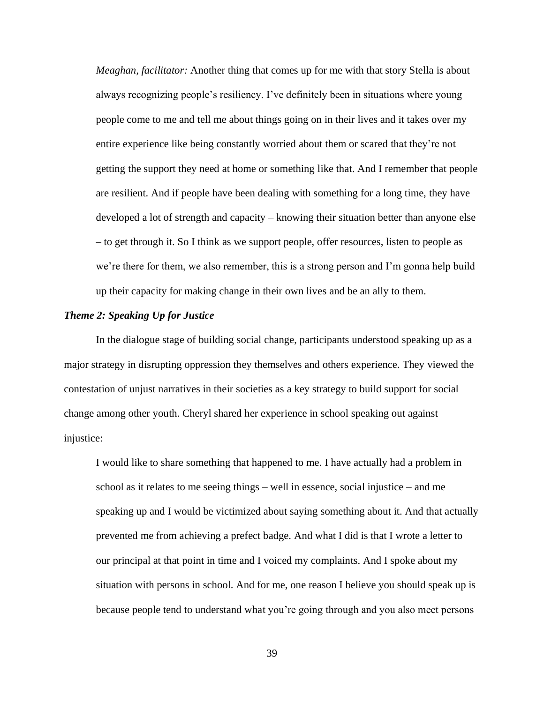*Meaghan, facilitator:* Another thing that comes up for me with that story Stella is about always recognizing people's resiliency. I've definitely been in situations where young people come to me and tell me about things going on in their lives and it takes over my entire experience like being constantly worried about them or scared that they're not getting the support they need at home or something like that. And I remember that people are resilient. And if people have been dealing with something for a long time, they have developed a lot of strength and capacity – knowing their situation better than anyone else – to get through it. So I think as we support people, offer resources, listen to people as we're there for them, we also remember, this is a strong person and I'm gonna help build up their capacity for making change in their own lives and be an ally to them.

### *Theme 2: Speaking Up for Justice*

 In the dialogue stage of building social change, participants understood speaking up as a major strategy in disrupting oppression they themselves and others experience. They viewed the contestation of unjust narratives in their societies as a key strategy to build support for social change among other youth. Cheryl shared her experience in school speaking out against injustice:

I would like to share something that happened to me. I have actually had a problem in school as it relates to me seeing things – well in essence, social injustice – and me speaking up and I would be victimized about saying something about it. And that actually prevented me from achieving a prefect badge. And what I did is that I wrote a letter to our principal at that point in time and I voiced my complaints. And I spoke about my situation with persons in school. And for me, one reason I believe you should speak up is because people tend to understand what you're going through and you also meet persons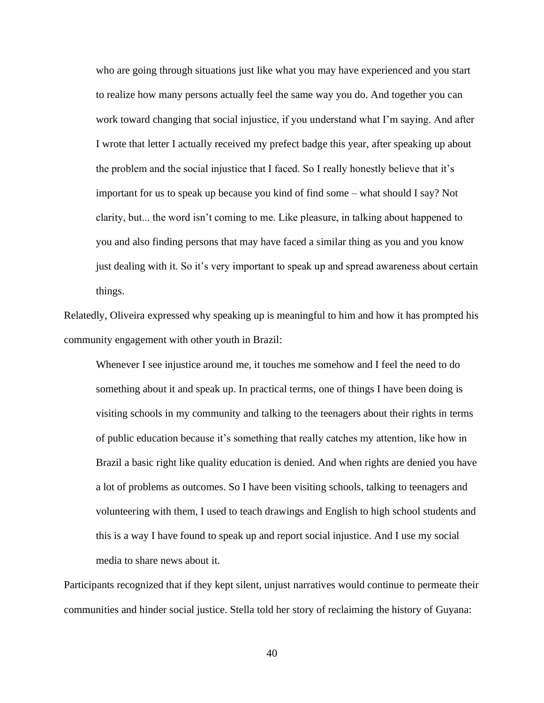who are going through situations just like what you may have experienced and you start to realize how many persons actually feel the same way you do. And together you can work toward changing that social injustice, if you understand what I'm saying. And after I wrote that letter I actually received my prefect badge this year, after speaking up about the problem and the social injustice that I faced. So I really honestly believe that it's important for us to speak up because you kind of find some – what should I say? Not clarity, but... the word isn't coming to me. Like pleasure, in talking about happened to you and also finding persons that may have faced a similar thing as you and you know just dealing with it. So it's very important to speak up and spread awareness about certain things.

Relatedly, Oliveira expressed why speaking up is meaningful to him and how it has prompted his community engagement with other youth in Brazil:

Whenever I see injustice around me, it touches me somehow and I feel the need to do something about it and speak up. In practical terms, one of things I have been doing is visiting schools in my community and talking to the teenagers about their rights in terms of public education because it's something that really catches my attention, like how in Brazil a basic right like quality education is denied. And when rights are denied you have a lot of problems as outcomes. So I have been visiting schools, talking to teenagers and volunteering with them, I used to teach drawings and English to high school students and this is a way I have found to speak up and report social injustice. And I use my social media to share news about it.

Participants recognized that if they kept silent, unjust narratives would continue to permeate their communities and hinder social justice. Stella told her story of reclaiming the history of Guyana: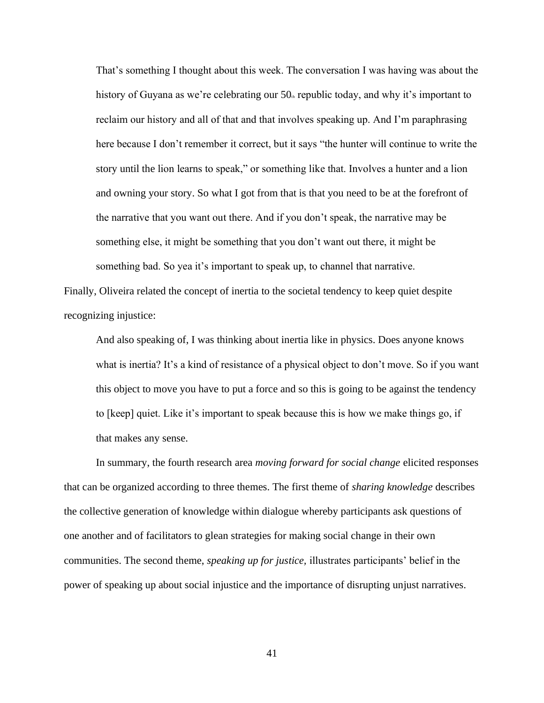That's something I thought about this week. The conversation I was having was about the history of Guyana as we're celebrating our  $50<sub>n</sub>$  republic today, and why it's important to reclaim our history and all of that and that involves speaking up. And I'm paraphrasing here because I don't remember it correct, but it says "the hunter will continue to write the story until the lion learns to speak," or something like that. Involves a hunter and a lion and owning your story. So what I got from that is that you need to be at the forefront of the narrative that you want out there. And if you don't speak, the narrative may be something else, it might be something that you don't want out there, it might be something bad. So yea it's important to speak up, to channel that narrative.

Finally, Oliveira related the concept of inertia to the societal tendency to keep quiet despite recognizing injustice:

And also speaking of, I was thinking about inertia like in physics. Does anyone knows what is inertia? It's a kind of resistance of a physical object to don't move. So if you want this object to move you have to put a force and so this is going to be against the tendency to [keep] quiet. Like it's important to speak because this is how we make things go, if that makes any sense.

In summary, the fourth research area *moving forward for social change* elicited responses that can be organized according to three themes. The first theme of *sharing knowledge* describes the collective generation of knowledge within dialogue whereby participants ask questions of one another and of facilitators to glean strategies for making social change in their own communities. The second theme, *speaking up for justice,* illustrates participants' belief in the power of speaking up about social injustice and the importance of disrupting unjust narratives.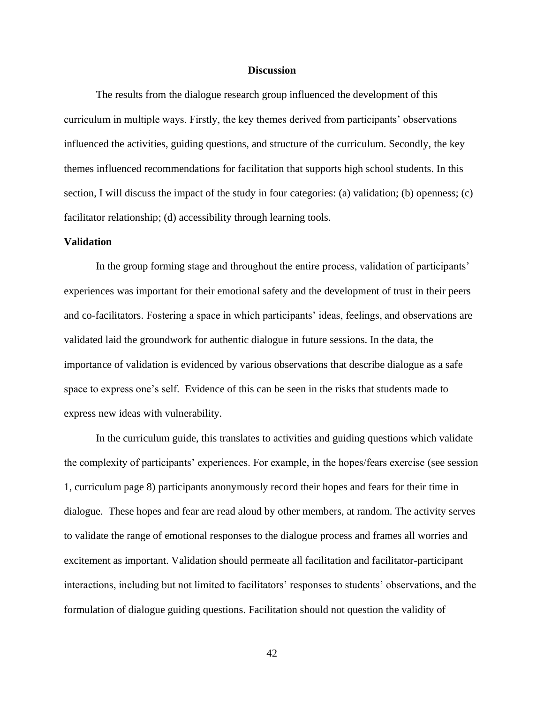### **Discussion**

The results from the dialogue research group influenced the development of this curriculum in multiple ways. Firstly, the key themes derived from participants' observations influenced the activities, guiding questions, and structure of the curriculum. Secondly, the key themes influenced recommendations for facilitation that supports high school students. In this section, I will discuss the impact of the study in four categories: (a) validation; (b) openness; (c) facilitator relationship; (d) accessibility through learning tools.

### **Validation**

In the group forming stage and throughout the entire process, validation of participants' experiences was important for their emotional safety and the development of trust in their peers and co-facilitators. Fostering a space in which participants' ideas, feelings, and observations are validated laid the groundwork for authentic dialogue in future sessions. In the data, the importance of validation is evidenced by various observations that describe dialogue as a safe space to express one's self. Evidence of this can be seen in the risks that students made to express new ideas with vulnerability.

In the curriculum guide, this translates to activities and guiding questions which validate the complexity of participants' experiences. For example, in the hopes/fears exercise (see session 1, curriculum page 8) participants anonymously record their hopes and fears for their time in dialogue. These hopes and fear are read aloud by other members, at random. The activity serves to validate the range of emotional responses to the dialogue process and frames all worries and excitement as important. Validation should permeate all facilitation and facilitator-participant interactions, including but not limited to facilitators' responses to students' observations, and the formulation of dialogue guiding questions. Facilitation should not question the validity of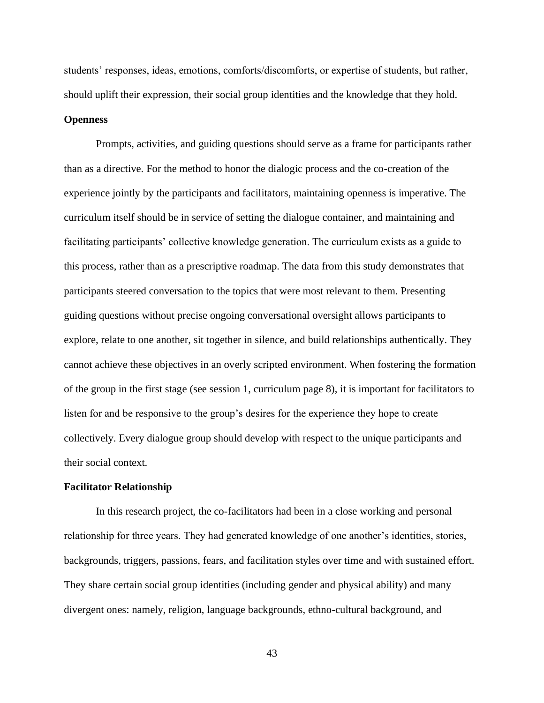students' responses, ideas, emotions, comforts/discomforts, or expertise of students, but rather, should uplift their expression, their social group identities and the knowledge that they hold.

### **Openness**

Prompts, activities, and guiding questions should serve as a frame for participants rather than as a directive. For the method to honor the dialogic process and the co-creation of the experience jointly by the participants and facilitators, maintaining openness is imperative. The curriculum itself should be in service of setting the dialogue container, and maintaining and facilitating participants' collective knowledge generation. The curriculum exists as a guide to this process, rather than as a prescriptive roadmap. The data from this study demonstrates that participants steered conversation to the topics that were most relevant to them. Presenting guiding questions without precise ongoing conversational oversight allows participants to explore, relate to one another, sit together in silence, and build relationships authentically. They cannot achieve these objectives in an overly scripted environment. When fostering the formation of the group in the first stage (see session 1, curriculum page 8), it is important for facilitators to listen for and be responsive to the group's desires for the experience they hope to create collectively. Every dialogue group should develop with respect to the unique participants and their social context.

### **Facilitator Relationship**

 In this research project, the co-facilitators had been in a close working and personal relationship for three years. They had generated knowledge of one another's identities, stories, backgrounds, triggers, passions, fears, and facilitation styles over time and with sustained effort. They share certain social group identities (including gender and physical ability) and many divergent ones: namely, religion, language backgrounds, ethno-cultural background, and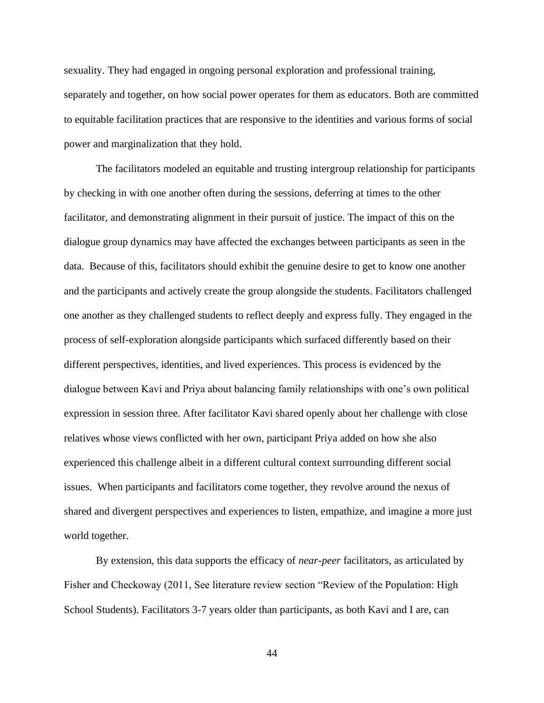sexuality. They had engaged in ongoing personal exploration and professional training, separately and together, on how social power operates for them as educators. Both are committed to equitable facilitation practices that are responsive to the identities and various forms of social power and marginalization that they hold.

The facilitators modeled an equitable and trusting intergroup relationship for participants by checking in with one another often during the sessions, deferring at times to the other facilitator, and demonstrating alignment in their pursuit of justice. The impact of this on the dialogue group dynamics may have affected the exchanges between participants as seen in the data. Because of this, facilitators should exhibit the genuine desire to get to know one another and the participants and actively create the group alongside the students. Facilitators challenged one another as they challenged students to reflect deeply and express fully. They engaged in the process of self-exploration alongside participants which surfaced differently based on their different perspectives, identities, and lived experiences. This process is evidenced by the dialogue between Kavi and Priya about balancing family relationships with one's own political expression in session three. After facilitator Kavi shared openly about her challenge with close relatives whose views conflicted with her own, participant Priya added on how she also experienced this challenge albeit in a different cultural context surrounding different social issues. When participants and facilitators come together, they revolve around the nexus of shared and divergent perspectives and experiences to listen, empathize, and imagine a more just world together.

By extension, this data supports the efficacy of *near-peer* facilitators, as articulated by Fisher and Checkoway (2011, See literature review section "Review of the Population: High School Students). Facilitators 3-7 years older than participants, as both Kavi and I are, can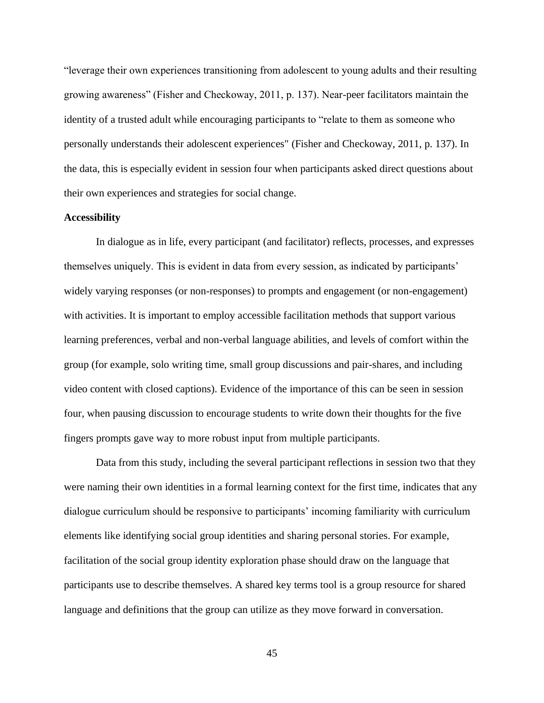"leverage their own experiences transitioning from adolescent to young adults and their resulting growing awareness" (Fisher and Checkoway, 2011, p. 137). Near-peer facilitators maintain the identity of a trusted adult while encouraging participants to "relate to them as someone who personally understands their adolescent experiences" (Fisher and Checkoway, 2011, p. 137). In the data, this is especially evident in session four when participants asked direct questions about their own experiences and strategies for social change.

### **Accessibility**

In dialogue as in life, every participant (and facilitator) reflects, processes, and expresses themselves uniquely. This is evident in data from every session, as indicated by participants' widely varying responses (or non-responses) to prompts and engagement (or non-engagement) with activities. It is important to employ accessible facilitation methods that support various learning preferences, verbal and non-verbal language abilities, and levels of comfort within the group (for example, solo writing time, small group discussions and pair-shares, and including video content with closed captions). Evidence of the importance of this can be seen in session four, when pausing discussion to encourage students to write down their thoughts for the five fingers prompts gave way to more robust input from multiple participants.

Data from this study, including the several participant reflections in session two that they were naming their own identities in a formal learning context for the first time, indicates that any dialogue curriculum should be responsive to participants' incoming familiarity with curriculum elements like identifying social group identities and sharing personal stories. For example, facilitation of the social group identity exploration phase should draw on the language that participants use to describe themselves. A shared key terms tool is a group resource for shared language and definitions that the group can utilize as they move forward in conversation.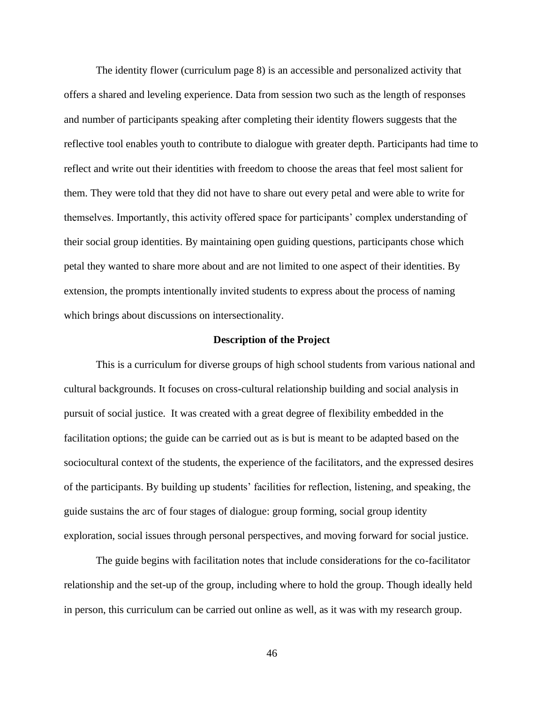The identity flower (curriculum page 8) is an accessible and personalized activity that offers a shared and leveling experience. Data from session two such as the length of responses and number of participants speaking after completing their identity flowers suggests that the reflective tool enables youth to contribute to dialogue with greater depth. Participants had time to reflect and write out their identities with freedom to choose the areas that feel most salient for them. They were told that they did not have to share out every petal and were able to write for themselves. Importantly, this activity offered space for participants' complex understanding of their social group identities. By maintaining open guiding questions, participants chose which petal they wanted to share more about and are not limited to one aspect of their identities. By extension, the prompts intentionally invited students to express about the process of naming which brings about discussions on intersectionality.

### **Description of the Project**

This is a curriculum for diverse groups of high school students from various national and cultural backgrounds. It focuses on cross-cultural relationship building and social analysis in pursuit of social justice. It was created with a great degree of flexibility embedded in the facilitation options; the guide can be carried out as is but is meant to be adapted based on the sociocultural context of the students, the experience of the facilitators, and the expressed desires of the participants. By building up students' facilities for reflection, listening, and speaking, the guide sustains the arc of four stages of dialogue: group forming, social group identity exploration, social issues through personal perspectives, and moving forward for social justice.

The guide begins with facilitation notes that include considerations for the co-facilitator relationship and the set-up of the group, including where to hold the group. Though ideally held in person, this curriculum can be carried out online as well, as it was with my research group.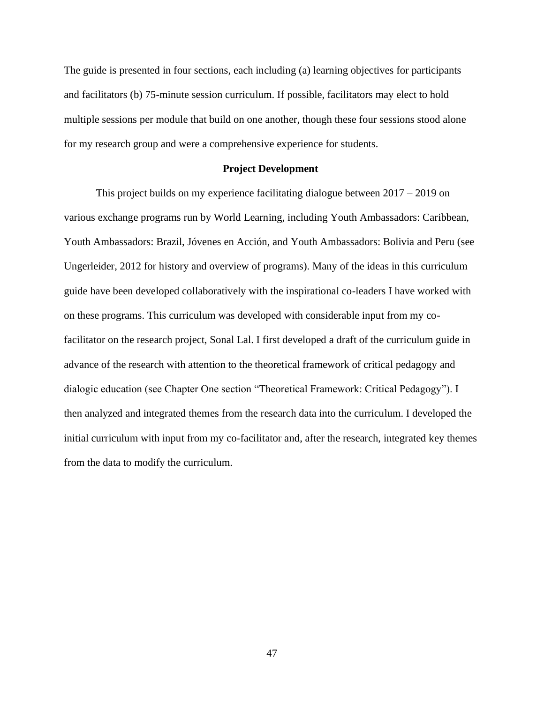The guide is presented in four sections, each including (a) learning objectives for participants and facilitators (b) 75-minute session curriculum. If possible, facilitators may elect to hold multiple sessions per module that build on one another, though these four sessions stood alone for my research group and were a comprehensive experience for students.

### **Project Development**

This project builds on my experience facilitating dialogue between 2017 – 2019 on various exchange programs run by World Learning, including Youth Ambassadors: Caribbean, Youth Ambassadors: Brazil, Jóvenes en Acción, and Youth Ambassadors: Bolivia and Peru (see Ungerleider, 2012 for history and overview of programs). Many of the ideas in this curriculum guide have been developed collaboratively with the inspirational co-leaders I have worked with on these programs. This curriculum was developed with considerable input from my cofacilitator on the research project, Sonal Lal. I first developed a draft of the curriculum guide in advance of the research with attention to the theoretical framework of critical pedagogy and dialogic education (see Chapter One section "Theoretical Framework: Critical Pedagogy"). I then analyzed and integrated themes from the research data into the curriculum. I developed the initial curriculum with input from my co-facilitator and, after the research, integrated key themes from the data to modify the curriculum.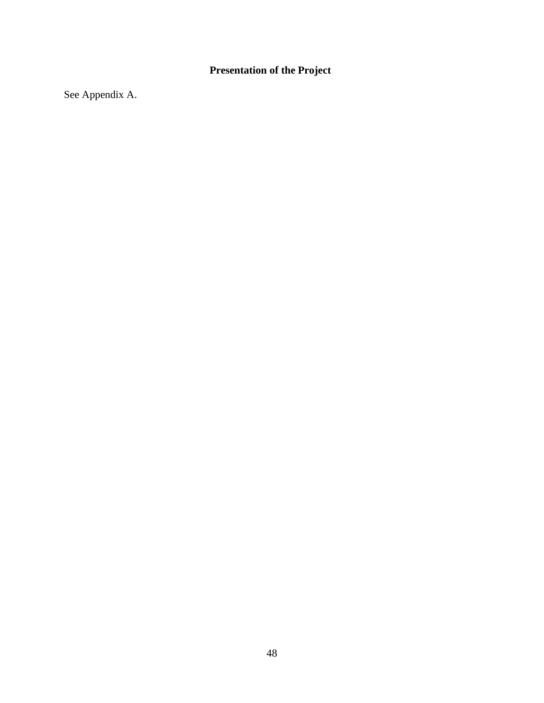# **Presentation of the Project**

See Appendix A.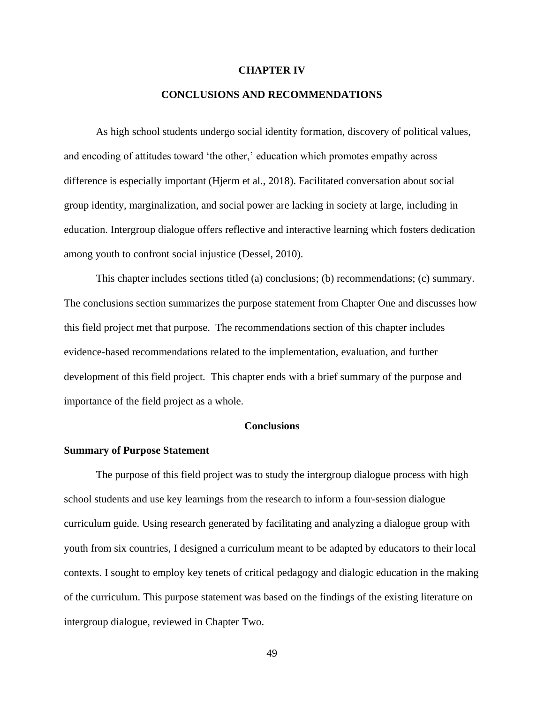### **CHAPTER IV**

### **CONCLUSIONS AND RECOMMENDATIONS**

As high school students undergo social identity formation, discovery of political values, and encoding of attitudes toward 'the other,' education which promotes empathy across difference is especially important (Hjerm et al., 2018). Facilitated conversation about social group identity, marginalization, and social power are lacking in society at large, including in education. Intergroup dialogue offers reflective and interactive learning which fosters dedication among youth to confront social injustice (Dessel, 2010).

This chapter includes sections titled (a) conclusions; (b) recommendations; (c) summary. The conclusions section summarizes the purpose statement from Chapter One and discusses how this field project met that purpose. The recommendations section of this chapter includes evidence-based recommendations related to the implementation, evaluation, and further development of this field project. This chapter ends with a brief summary of the purpose and importance of the field project as a whole.

### **Conclusions**

### **Summary of Purpose Statement**

The purpose of this field project was to study the intergroup dialogue process with high school students and use key learnings from the research to inform a four-session dialogue curriculum guide. Using research generated by facilitating and analyzing a dialogue group with youth from six countries, I designed a curriculum meant to be adapted by educators to their local contexts. I sought to employ key tenets of critical pedagogy and dialogic education in the making of the curriculum. This purpose statement was based on the findings of the existing literature on intergroup dialogue, reviewed in Chapter Two.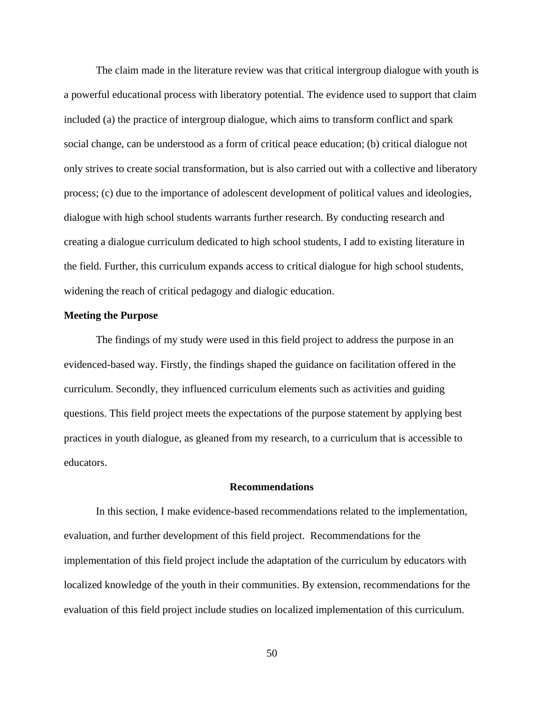The claim made in the literature review was that critical intergroup dialogue with youth is a powerful educational process with liberatory potential. The evidence used to support that claim included (a) the practice of intergroup dialogue, which aims to transform conflict and spark social change, can be understood as a form of critical peace education; (b) critical dialogue not only strives to create social transformation, but is also carried out with a collective and liberatory process; (c) due to the importance of adolescent development of political values and ideologies, dialogue with high school students warrants further research. By conducting research and creating a dialogue curriculum dedicated to high school students, I add to existing literature in the field. Further, this curriculum expands access to critical dialogue for high school students, widening the reach of critical pedagogy and dialogic education.

### **Meeting the Purpose**

The findings of my study were used in this field project to address the purpose in an evidenced-based way. Firstly, the findings shaped the guidance on facilitation offered in the curriculum. Secondly, they influenced curriculum elements such as activities and guiding questions. This field project meets the expectations of the purpose statement by applying best practices in youth dialogue, as gleaned from my research, to a curriculum that is accessible to educators.

### **Recommendations**

In this section, I make evidence-based recommendations related to the implementation, evaluation, and further development of this field project. Recommendations for the implementation of this field project include the adaptation of the curriculum by educators with localized knowledge of the youth in their communities. By extension, recommendations for the evaluation of this field project include studies on localized implementation of this curriculum.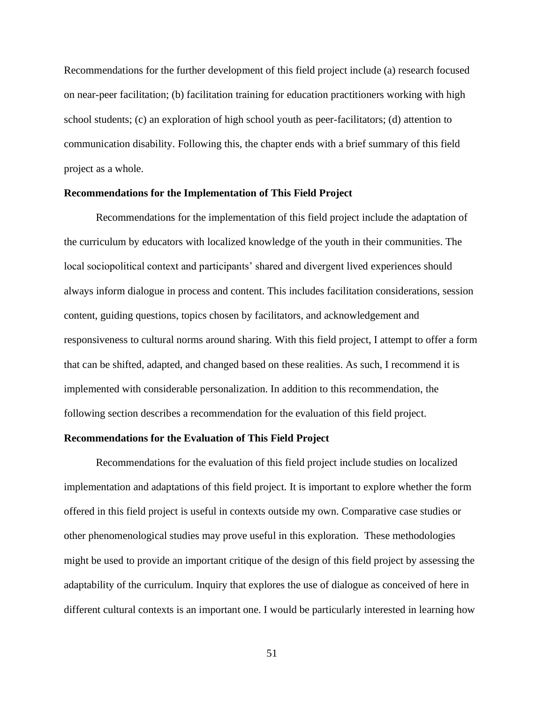Recommendations for the further development of this field project include (a) research focused on near-peer facilitation; (b) facilitation training for education practitioners working with high school students; (c) an exploration of high school youth as peer-facilitators; (d) attention to communication disability. Following this, the chapter ends with a brief summary of this field project as a whole.

### **Recommendations for the Implementation of This Field Project**

Recommendations for the implementation of this field project include the adaptation of the curriculum by educators with localized knowledge of the youth in their communities. The local sociopolitical context and participants' shared and divergent lived experiences should always inform dialogue in process and content. This includes facilitation considerations, session content, guiding questions, topics chosen by facilitators, and acknowledgement and responsiveness to cultural norms around sharing. With this field project, I attempt to offer a form that can be shifted, adapted, and changed based on these realities. As such, I recommend it is implemented with considerable personalization. In addition to this recommendation, the following section describes a recommendation for the evaluation of this field project.

### **Recommendations for the Evaluation of This Field Project**

Recommendations for the evaluation of this field project include studies on localized implementation and adaptations of this field project. It is important to explore whether the form offered in this field project is useful in contexts outside my own. Comparative case studies or other phenomenological studies may prove useful in this exploration. These methodologies might be used to provide an important critique of the design of this field project by assessing the adaptability of the curriculum. Inquiry that explores the use of dialogue as conceived of here in different cultural contexts is an important one. I would be particularly interested in learning how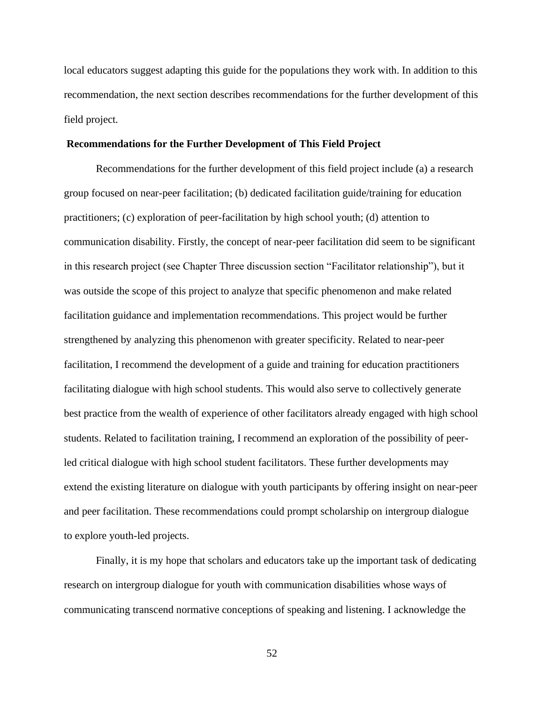local educators suggest adapting this guide for the populations they work with. In addition to this recommendation, the next section describes recommendations for the further development of this field project.

### **Recommendations for the Further Development of This Field Project**

Recommendations for the further development of this field project include (a) a research group focused on near-peer facilitation; (b) dedicated facilitation guide/training for education practitioners; (c) exploration of peer-facilitation by high school youth; (d) attention to communication disability. Firstly, the concept of near-peer facilitation did seem to be significant in this research project (see Chapter Three discussion section "Facilitator relationship"), but it was outside the scope of this project to analyze that specific phenomenon and make related facilitation guidance and implementation recommendations. This project would be further strengthened by analyzing this phenomenon with greater specificity. Related to near-peer facilitation, I recommend the development of a guide and training for education practitioners facilitating dialogue with high school students. This would also serve to collectively generate best practice from the wealth of experience of other facilitators already engaged with high school students. Related to facilitation training, I recommend an exploration of the possibility of peerled critical dialogue with high school student facilitators. These further developments may extend the existing literature on dialogue with youth participants by offering insight on near-peer and peer facilitation. These recommendations could prompt scholarship on intergroup dialogue to explore youth-led projects.

Finally, it is my hope that scholars and educators take up the important task of dedicating research on intergroup dialogue for youth with communication disabilities whose ways of communicating transcend normative conceptions of speaking and listening. I acknowledge the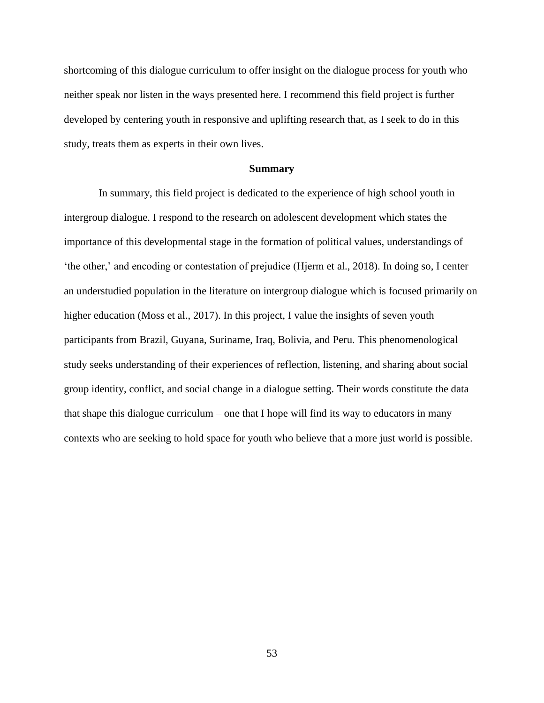shortcoming of this dialogue curriculum to offer insight on the dialogue process for youth who neither speak nor listen in the ways presented here. I recommend this field project is further developed by centering youth in responsive and uplifting research that, as I seek to do in this study, treats them as experts in their own lives.

### **Summary**

 In summary, this field project is dedicated to the experience of high school youth in intergroup dialogue. I respond to the research on adolescent development which states the importance of this developmental stage in the formation of political values, understandings of 'the other,' and encoding or contestation of prejudice (Hjerm et al., 2018). In doing so, I center an understudied population in the literature on intergroup dialogue which is focused primarily on higher education (Moss et al., 2017). In this project, I value the insights of seven youth participants from Brazil, Guyana, Suriname, Iraq, Bolivia, and Peru. This phenomenological study seeks understanding of their experiences of reflection, listening, and sharing about social group identity, conflict, and social change in a dialogue setting. Their words constitute the data that shape this dialogue curriculum – one that I hope will find its way to educators in many contexts who are seeking to hold space for youth who believe that a more just world is possible.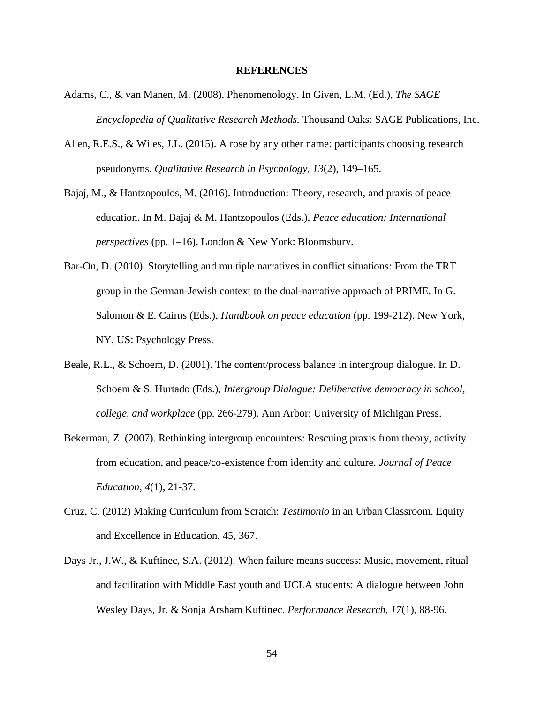### **REFERENCES**

- Adams, C., & van Manen, M. (2008). Phenomenology. In Given, L.M. (Ed.), *The SAGE Encyclopedia of Qualitative Research Methods.* Thousand Oaks: SAGE Publications, Inc.
- Allen, R.E.S., & Wiles, J.L. (2015). A rose by any other name: participants choosing research pseudonyms. *Qualitative Research in Psychology, 13*(2), 149–165.
- Bajaj, M., & Hantzopoulos, M. (2016). Introduction: Theory, research, and praxis of peace education. In M. Bajaj & M. Hantzopoulos (Eds.), *Peace education: International perspectives* (pp. 1–16). London & New York: Bloomsbury.
- Bar-On, D. (2010). Storytelling and multiple narratives in conflict situations: From the TRT group in the German-Jewish context to the dual-narrative approach of PRIME. In G. Salomon & E. Cairns (Eds.), *Handbook on peace education* (pp. 199-212). New York, NY, US: Psychology Press.
- Beale, R.L., & Schoem, D. (2001). The content/process balance in intergroup dialogue. In D. Schoem & S. Hurtado (Eds.), *Intergroup Dialogue: Deliberative democracy in school, college, and workplace* (pp. 266-279). Ann Arbor: University of Michigan Press.
- Bekerman, Z. (2007). Rethinking intergroup encounters: Rescuing praxis from theory, activity from education, and peace/co-existence from identity and culture. *Journal of Peace Education, 4*(1), 21-37.
- Cruz, C. (2012) Making Curriculum from Scratch: *Testimonio* in an Urban Classroom. Equity and Excellence in Education, 45, 367.
- Days Jr., J.W., & Kuftinec, S.A. (2012). When failure means success: Music, movement, ritual and facilitation with Middle East youth and UCLA students: A dialogue between John Wesley Days, Jr. & Sonja Arsham Kuftinec. *Performance Research, 17*(1), 88-96.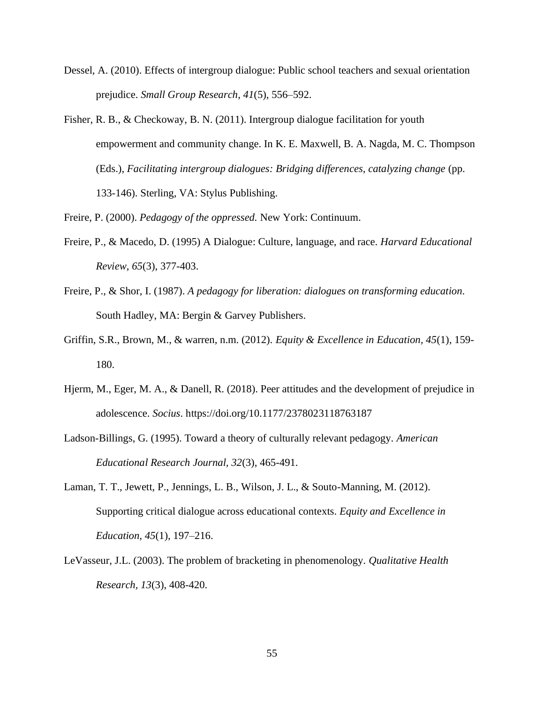- Dessel, A. (2010). Effects of intergroup dialogue: Public school teachers and sexual orientation prejudice. *Small Group Research*, *41*(5), 556–592.
- Fisher, R. B., & Checkoway, B. N. (2011). Intergroup dialogue facilitation for youth empowerment and community change. In K. E. Maxwell, B. A. Nagda, M. C. Thompson (Eds.), *Facilitating intergroup dialogues: Bridging differences, catalyzing change* (pp. 133-146). Sterling, VA: Stylus Publishing.
- Freire, P. (2000). *Pedagogy of the oppressed.* New York: Continuum.
- Freire, P., & Macedo, D. (1995) A Dialogue: Culture, language, and race. *Harvard Educational Review*, *65*(3), 377-403.
- Freire, P., & Shor, I. (1987). *A pedagogy for liberation: dialogues on transforming education*. South Hadley, MA: Bergin & Garvey Publishers.
- Griffin, S.R., Brown, M., & warren, n.m. (2012). *Equity & Excellence in Education, 45*(1), 159- 180.
- Hjerm, M., Eger, M. A., & Danell, R. (2018). Peer attitudes and the development of prejudice in adolescence. *Socius*.<https://doi.org/10.1177/2378023118763187>
- Ladson-Billings, G. (1995). Toward a theory of culturally relevant pedagogy. *American Educational Research Journal, 32*(3), 465-491.
- Laman, T. T., Jewett, P., Jennings, L. B., Wilson, J. L., & Souto-Manning, M. (2012). Supporting critical dialogue across educational contexts. *Equity and Excellence in Education, 45*(1), 197–216.
- LeVasseur, J.L. (2003). The problem of bracketing in phenomenology. *Qualitative Health Research, 13*(3), 408-420.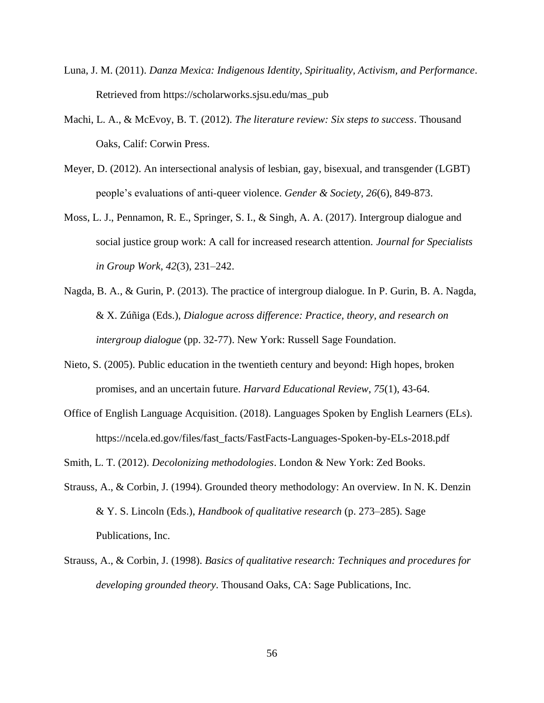- Luna, J. M. (2011). *Danza Mexica: Indigenous Identity, Spirituality, Activism, and Performance*. Retrieved from [https://scholarworks.sjsu.edu/mas\\_pub](https://scholarworks.sjsu.edu/mas_pub)
- Machi, L. A., & McEvoy, B. T. (2012). *The literature review: Six steps to success*. Thousand Oaks, Calif: Corwin Press.
- Meyer, D. (2012). An intersectional analysis of lesbian, gay, bisexual, and transgender (LGBT) people's evaluations of anti-queer violence. *Gender & Society, 26*(6), 849-873.
- Moss, L. J., Pennamon, R. E., Springer, S. I., & Singh, A. A. (2017). Intergroup dialogue and social justice group work: A call for increased research attention. *Journal for Specialists in Group Work, 42*(3), 231–242.
- Nagda, B. A., & Gurin, P. (2013). The practice of intergroup dialogue. In P. Gurin, B. A. Nagda, & X. Zúñiga (Eds.), *Dialogue across difference: Practice, theory, and research on intergroup dialogue* (pp. 32-77). New York: Russell Sage Foundation.
- Nieto, S. (2005). Public education in the twentieth century and beyond: High hopes, broken promises, and an uncertain future. *Harvard Educational Review*, *75*(1), 43-64.
- Office of English Language Acquisition. (2018). Languages Spoken by English Learners (ELs). [https://ncela.ed.gov/files/fast\\_facts/FastFacts-Languages-Spoken-by-ELs-2018.pdf](https://ncela.ed.gov/files/fast_facts/FastFacts-Languages-Spoken-by-ELs-2018.pdf)
- Smith, L. T. (2012). *Decolonizing methodologies*. London & New York: Zed Books.
- Strauss, A., & Corbin, J. (1994). Grounded theory methodology: An overview. In N. K. Denzin & Y. S. Lincoln (Eds.), *Handbook of qualitative research* (p. 273–285). Sage Publications, Inc.
- Strauss, A., & Corbin, J. (1998). *Basics of qualitative research: Techniques and procedures for developing grounded theory*. Thousand Oaks, CA: Sage Publications, Inc.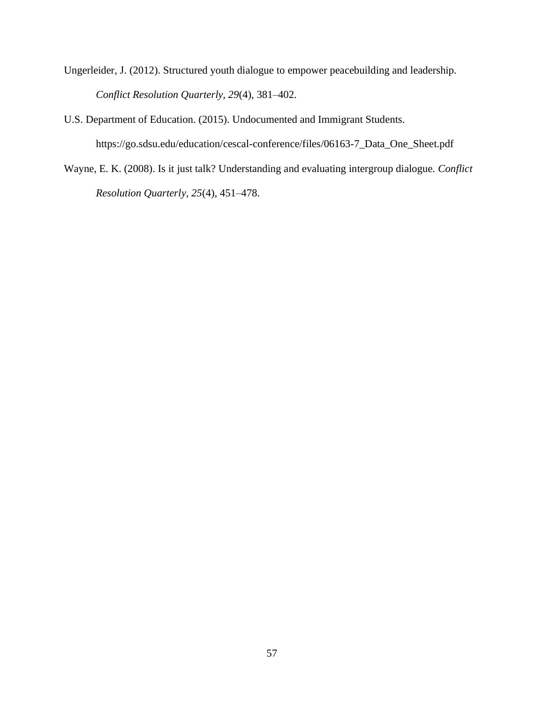Ungerleider, J. (2012). Structured youth dialogue to empower peacebuilding and leadership. *Conflict Resolution Quarterly, 29*(4), 381–402.

U.S. Department of Education. (2015). Undocumented and Immigrant Students.

[https://go.sdsu.edu/education/cescal-conference/files/06163-7\\_Data\\_One\\_Sheet.pdf](https://go.sdsu.edu/education/cescal-conference/files/06163-7_Data_One_Sheet.pdf)

Wayne, E. K. (2008). Is it just talk? Understanding and evaluating intergroup dialogue. *Conflict Resolution Quarterly, 25*(4), 451–478.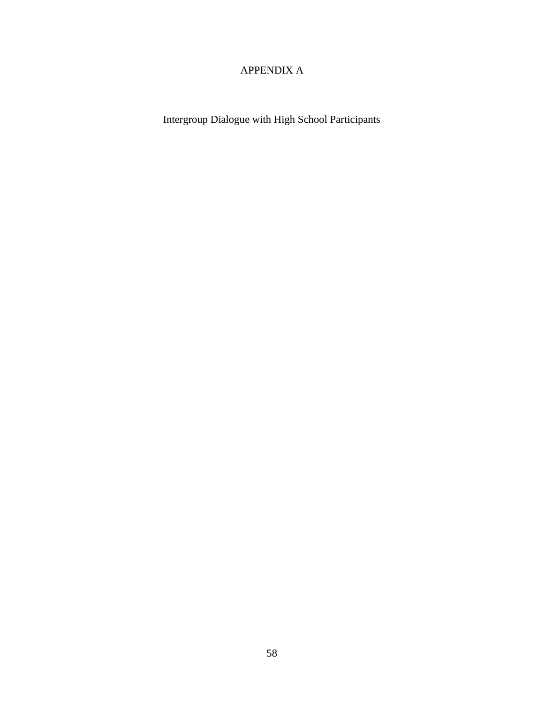# APPENDIX A

Intergroup Dialogue with High School Participants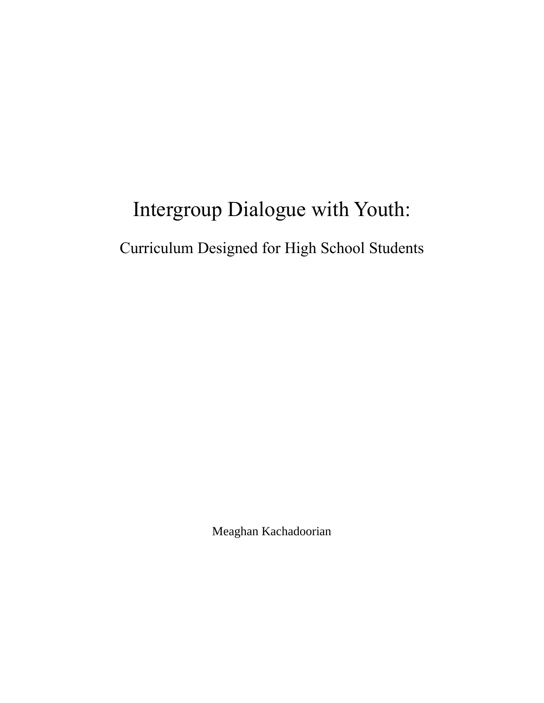# Intergroup Dialogue with Youth:

Curriculum Designed for High School Students

Meaghan Kachadoorian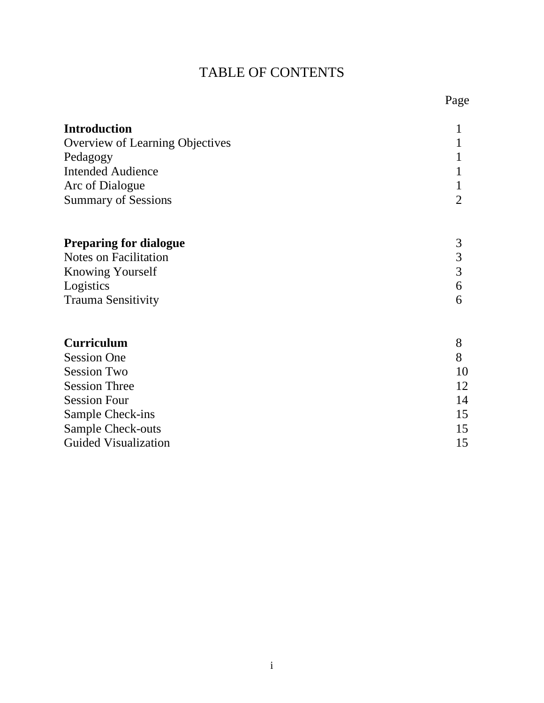# TABLE OF CONTENTS

| <b>Introduction</b>             |    |
|---------------------------------|----|
| Overview of Learning Objectives |    |
| Pedagogy                        |    |
| <b>Intended Audience</b>        |    |
| Arc of Dialogue                 |    |
| <b>Summary of Sessions</b>      | 2  |
| <b>Preparing for dialogue</b>   | 3  |
| <b>Notes on Facilitation</b>    | 3  |
| <b>Knowing Yourself</b>         | 3  |
| Logistics                       | 6  |
| <b>Trauma Sensitivity</b>       | 6  |
| <b>Curriculum</b>               | 8  |
| <b>Session One</b>              | 8  |
| <b>Session Two</b>              | 10 |
| <b>Session Three</b>            | 12 |
| <b>Session Four</b>             | 14 |
| Sample Check-ins                | 15 |
| <b>Sample Check-outs</b>        | 15 |
| <b>Guided Visualization</b>     | 15 |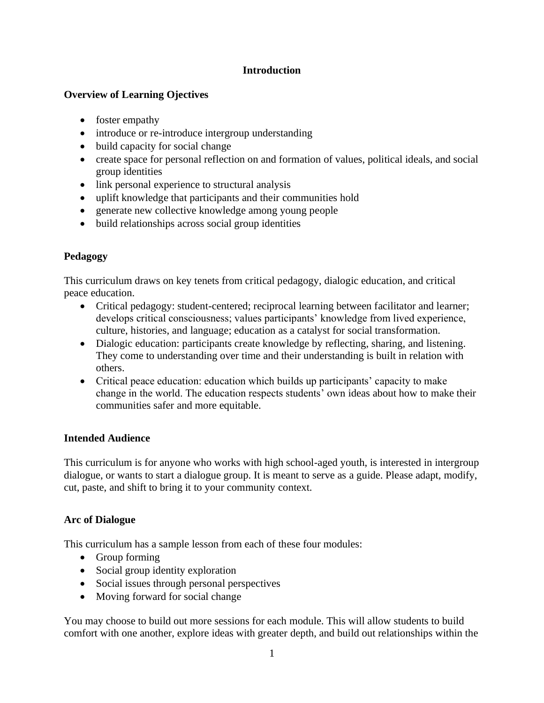# **Introduction**

# **Overview of Learning Ojectives**

- foster empathy
- introduce or re-introduce intergroup understanding
- build capacity for social change
- create space for personal reflection on and formation of values, political ideals, and social group identities
- link personal experience to structural analysis
- uplift knowledge that participants and their communities hold
- generate new collective knowledge among young people
- build relationships across social group identities

# **Pedagogy**

This curriculum draws on key tenets from critical pedagogy, dialogic education, and critical peace education.

- Critical pedagogy: student-centered; reciprocal learning between facilitator and learner; develops critical consciousness; values participants' knowledge from lived experience, culture, histories, and language; education as a catalyst for social transformation.
- Dialogic education: participants create knowledge by reflecting, sharing, and listening. They come to understanding over time and their understanding is built in relation with others.
- Critical peace education: education which builds up participants' capacity to make change in the world. The education respects students' own ideas about how to make their communities safer and more equitable.

# **Intended Audience**

This curriculum is for anyone who works with high school-aged youth, is interested in intergroup dialogue, or wants to start a dialogue group. It is meant to serve as a guide. Please adapt, modify, cut, paste, and shift to bring it to your community context.

# **Arc of Dialogue**

This curriculum has a sample lesson from each of these four modules:

- Group forming
- Social group identity exploration
- Social issues through personal perspectives
- Moving forward for social change

You may choose to build out more sessions for each module. This will allow students to build comfort with one another, explore ideas with greater depth, and build out relationships within the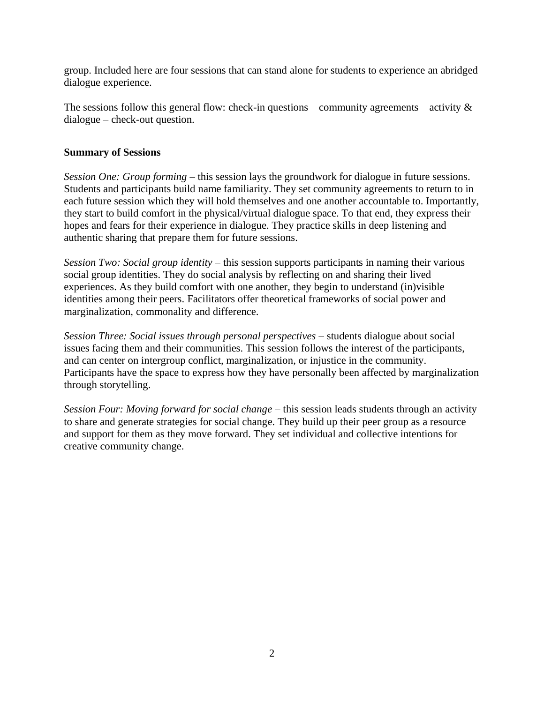group. Included here are four sessions that can stand alone for students to experience an abridged dialogue experience.

The sessions follow this general flow: check-in questions – community agreements – activity  $\&$ dialogue – check-out question.

## **Summary of Sessions**

*Session One: Group forming –* this session lays the groundwork for dialogue in future sessions. Students and participants build name familiarity. They set community agreements to return to in each future session which they will hold themselves and one another accountable to. Importantly, they start to build comfort in the physical/virtual dialogue space. To that end, they express their hopes and fears for their experience in dialogue. They practice skills in deep listening and authentic sharing that prepare them for future sessions.

*Session Two: Social group identity –* this session supports participants in naming their various social group identities. They do social analysis by reflecting on and sharing their lived experiences. As they build comfort with one another, they begin to understand (in)visible identities among their peers. Facilitators offer theoretical frameworks of social power and marginalization, commonality and difference.

*Session Three: Social issues through personal perspectives –* students dialogue about social issues facing them and their communities. This session follows the interest of the participants, and can center on intergroup conflict, marginalization, or injustice in the community. Participants have the space to express how they have personally been affected by marginalization through storytelling.

*Session Four: Moving forward for social change –* this session leads students through an activity to share and generate strategies for social change. They build up their peer group as a resource and support for them as they move forward. They set individual and collective intentions for creative community change.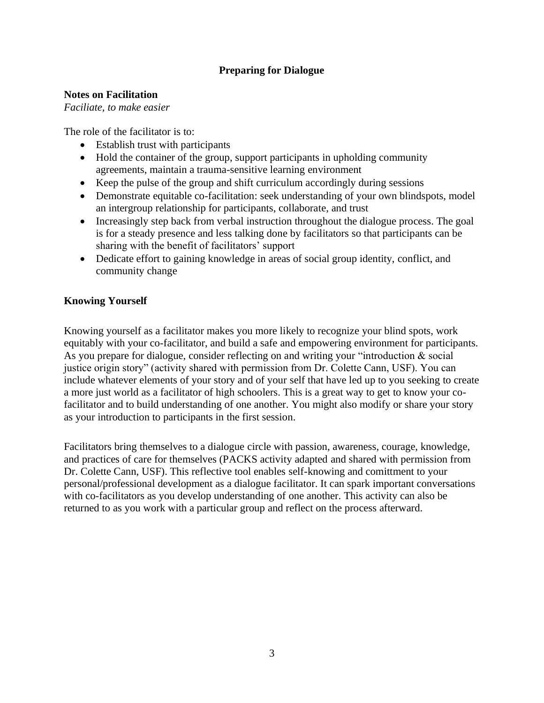# **Preparing for Dialogue**

# **Notes on Facilitation**

*Faciliate, to make easier*

The role of the facilitator is to:

- Establish trust with participants
- Hold the container of the group, support participants in upholding community agreements, maintain a trauma-sensitive learning environment
- Keep the pulse of the group and shift curriculum accordingly during sessions
- Demonstrate equitable co-facilitation: seek understanding of your own blindspots, model an intergroup relationship for participants, collaborate, and trust
- Increasingly step back from verbal instruction throughout the dialogue process. The goal is for a steady presence and less talking done by facilitators so that participants can be sharing with the benefit of facilitators' support
- Dedicate effort to gaining knowledge in areas of social group identity, conflict, and community change

# **Knowing Yourself**

Knowing yourself as a facilitator makes you more likely to recognize your blind spots, work equitably with your co-facilitator, and build a safe and empowering environment for participants. As you prepare for dialogue, consider reflecting on and writing your "introduction & social justice origin story" (activity shared with permission from Dr. Colette Cann, USF). You can include whatever elements of your story and of your self that have led up to you seeking to create a more just world as a facilitator of high schoolers. This is a great way to get to know your cofacilitator and to build understanding of one another. You might also modify or share your story as your introduction to participants in the first session.

Facilitators bring themselves to a dialogue circle with passion, awareness, courage, knowledge, and practices of care for themselves (PACKS activity adapted and shared with permission from Dr. Colette Cann, USF). This reflective tool enables self-knowing and comittment to your personal/professional development as a dialogue facilitator. It can spark important conversations with co-facilitators as you develop understanding of one another. This activity can also be returned to as you work with a particular group and reflect on the process afterward.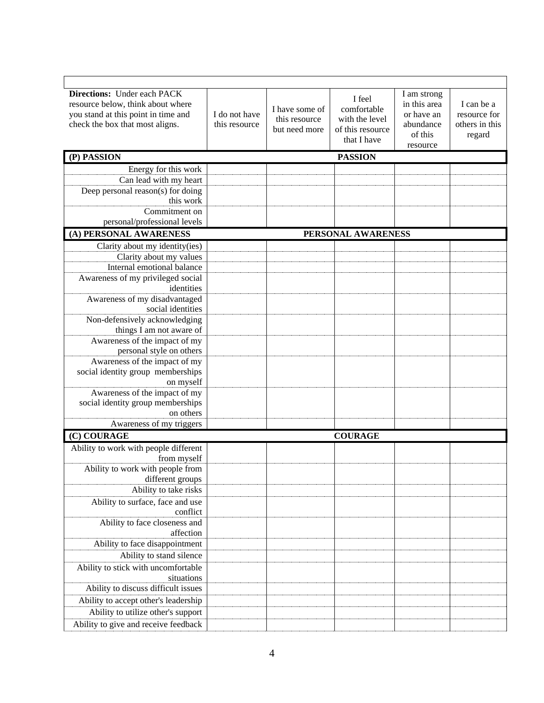| <b>Directions:</b> Under each PACK<br>resource below, think about where<br>you stand at this point in time and<br>check the box that most aligns. | I do not have<br>this resource | I have some of<br>this resource<br>but need more | I feel<br>comfortable<br>with the level<br>of this resource<br>that I have | I am strong<br>in this area<br>or have an<br>abundance<br>of this<br>resource | I can be a<br>resource for<br>others in this<br>regard |
|---------------------------------------------------------------------------------------------------------------------------------------------------|--------------------------------|--------------------------------------------------|----------------------------------------------------------------------------|-------------------------------------------------------------------------------|--------------------------------------------------------|
| (P) PASSION                                                                                                                                       |                                |                                                  | <b>PASSION</b>                                                             |                                                                               |                                                        |
| Energy for this work                                                                                                                              |                                |                                                  |                                                                            |                                                                               |                                                        |
| Can lead with my heart                                                                                                                            |                                |                                                  |                                                                            |                                                                               |                                                        |
| Deep personal reason(s) for doing                                                                                                                 |                                |                                                  |                                                                            |                                                                               |                                                        |
| this work                                                                                                                                         |                                |                                                  |                                                                            |                                                                               |                                                        |
| Commitment on                                                                                                                                     |                                |                                                  |                                                                            |                                                                               |                                                        |
| personal/professional levels                                                                                                                      |                                |                                                  |                                                                            |                                                                               |                                                        |
| (A) PERSONAL AWARENESS                                                                                                                            |                                |                                                  | PERSONAL AWARENESS                                                         |                                                                               |                                                        |
| Clarity about my identity(ies)                                                                                                                    |                                |                                                  |                                                                            |                                                                               |                                                        |
| Clarity about my values                                                                                                                           |                                |                                                  |                                                                            |                                                                               |                                                        |
| Internal emotional balance                                                                                                                        |                                |                                                  |                                                                            |                                                                               |                                                        |
| Awareness of my privileged social<br>identities                                                                                                   |                                |                                                  |                                                                            |                                                                               |                                                        |
| Awareness of my disadvantaged                                                                                                                     |                                |                                                  |                                                                            |                                                                               |                                                        |
| social identities                                                                                                                                 |                                |                                                  |                                                                            |                                                                               |                                                        |
| Non-defensively acknowledging                                                                                                                     |                                |                                                  |                                                                            |                                                                               |                                                        |
| things I am not aware of                                                                                                                          |                                |                                                  |                                                                            |                                                                               |                                                        |
| Awareness of the impact of my                                                                                                                     |                                |                                                  |                                                                            |                                                                               |                                                        |
| personal style on others                                                                                                                          |                                |                                                  |                                                                            |                                                                               |                                                        |
| Awareness of the impact of my                                                                                                                     |                                |                                                  |                                                                            |                                                                               |                                                        |
| social identity group memberships                                                                                                                 |                                |                                                  |                                                                            |                                                                               |                                                        |
| on myself                                                                                                                                         |                                |                                                  |                                                                            |                                                                               |                                                        |
| Awareness of the impact of my                                                                                                                     |                                |                                                  |                                                                            |                                                                               |                                                        |
| social identity group memberships<br>on others                                                                                                    |                                |                                                  |                                                                            |                                                                               |                                                        |
| Awareness of my triggers                                                                                                                          |                                |                                                  |                                                                            |                                                                               |                                                        |
| (C) COURAGE                                                                                                                                       |                                |                                                  | <b>COURAGE</b>                                                             |                                                                               |                                                        |
|                                                                                                                                                   |                                |                                                  |                                                                            |                                                                               |                                                        |
| Ability to work with people different<br>from myself                                                                                              |                                |                                                  |                                                                            |                                                                               |                                                        |
| Ability to work with people from                                                                                                                  |                                |                                                  |                                                                            |                                                                               |                                                        |
| different groups                                                                                                                                  |                                |                                                  |                                                                            |                                                                               |                                                        |
| Ability to take risks                                                                                                                             |                                |                                                  |                                                                            |                                                                               |                                                        |
| Ability to surface, face and use                                                                                                                  |                                |                                                  |                                                                            |                                                                               |                                                        |
| conflict                                                                                                                                          |                                |                                                  |                                                                            |                                                                               |                                                        |
| Ability to face closeness and                                                                                                                     |                                |                                                  |                                                                            |                                                                               |                                                        |
| affection                                                                                                                                         |                                |                                                  |                                                                            |                                                                               |                                                        |
| Ability to face disappointment                                                                                                                    |                                |                                                  |                                                                            |                                                                               |                                                        |
| Ability to stand silence                                                                                                                          |                                |                                                  |                                                                            |                                                                               |                                                        |
| Ability to stick with uncomfortable                                                                                                               |                                |                                                  |                                                                            |                                                                               |                                                        |
| situations                                                                                                                                        |                                |                                                  |                                                                            |                                                                               |                                                        |
| Ability to discuss difficult issues                                                                                                               |                                |                                                  |                                                                            |                                                                               |                                                        |
| Ability to accept other's leadership                                                                                                              |                                |                                                  |                                                                            |                                                                               |                                                        |
| Ability to utilize other's support                                                                                                                |                                |                                                  |                                                                            |                                                                               |                                                        |
| Ability to give and receive feedback                                                                                                              |                                |                                                  |                                                                            |                                                                               |                                                        |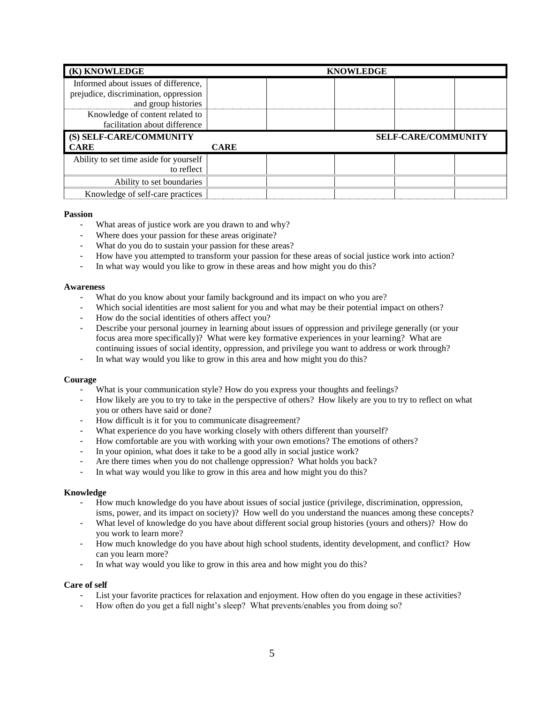| (K) KNOWLEDGE                          | <b>KNOWLEDGE</b>           |  |  |
|----------------------------------------|----------------------------|--|--|
| Informed about issues of difference,   |                            |  |  |
| prejudice, discrimination, oppression  |                            |  |  |
| and group histories                    |                            |  |  |
| Knowledge of content related to        |                            |  |  |
| facilitation about difference          |                            |  |  |
|                                        | <b>SELF-CARE/COMMUNITY</b> |  |  |
| (S) SELF-CARE/COMMUNITY                |                            |  |  |
| <b>CARE</b>                            | <b>CARE</b>                |  |  |
| Ability to set time aside for yourself |                            |  |  |
| to reflect                             |                            |  |  |
| Ability to set boundaries              |                            |  |  |

### **Passion**

- What areas of justice work are you drawn to and why?
- Where does your passion for these areas originate?
- What do you do to sustain your passion for these areas?
- How have you attempted to transform your passion for these areas of social justice work into action?
- In what way would you like to grow in these areas and how might you do this?

### **Awareness**

- What do you know about your family background and its impact on who you are?
- Which social identities are most salient for you and what may be their potential impact on others?
- How do the social identities of others affect you?
- Describe your personal journey in learning about issues of oppression and privilege generally (or your focus area more specifically)? What were key formative experiences in your learning? What are continuing issues of social identity, oppression, and privilege you want to address or work through?
- In what way would you like to grow in this area and how might you do this?

### **Courage**

- What is your communication style? How do you express your thoughts and feelings?
- How likely are you to try to take in the perspective of others? How likely are you to try to reflect on what you or others have said or done?
- How difficult is it for you to communicate disagreement?
- What experience do you have working closely with others different than yourself?
- How comfortable are you with working with your own emotions? The emotions of others?
- In your opinion, what does it take to be a good ally in social justice work?
- Are there times when you do not challenge oppression? What holds you back?
- In what way would you like to grow in this area and how might you do this?

### **Knowledge**

- How much knowledge do you have about issues of social justice (privilege, discrimination, oppression, isms, power, and its impact on society)? How well do you understand the nuances among these concepts?
- What level of knowledge do you have about different social group histories (yours and others)? How do you work to learn more?
- How much knowledge do you have about high school students, identity development, and conflict? How can you learn more?
- In what way would you like to grow in this area and how might you do this?

### **Care of self**

- List your favorite practices for relaxation and enjoyment. How often do you engage in these activities?
- How often do you get a full night's sleep? What prevents/enables you from doing so?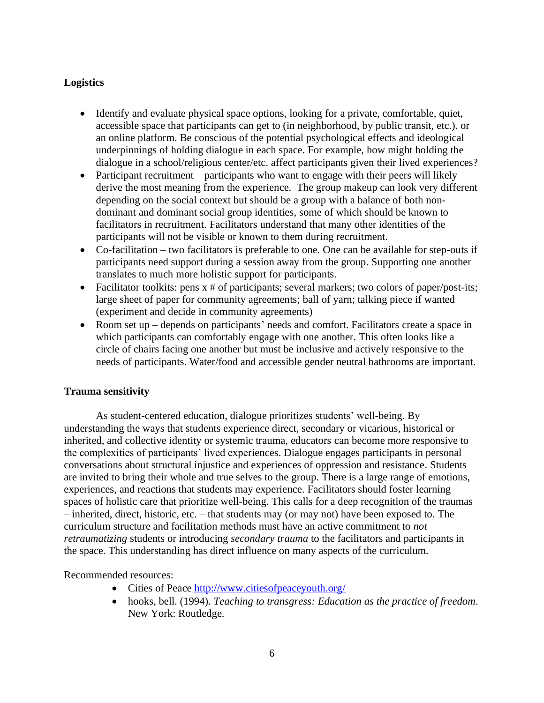# **Logistics**

- Identify and evaluate physical space options, looking for a private, comfortable, quiet, accessible space that participants can get to (in neighborhood, by public transit, etc.). or an online platform. Be conscious of the potential psychological effects and ideological underpinnings of holding dialogue in each space. For example, how might holding the dialogue in a school/religious center/etc. affect participants given their lived experiences?
- Participant recruitment participants who want to engage with their peers will likely derive the most meaning from the experience. The group makeup can look very different depending on the social context but should be a group with a balance of both nondominant and dominant social group identities, some of which should be known to facilitators in recruitment. Facilitators understand that many other identities of the participants will not be visible or known to them during recruitment.
- Co-facilitation two facilitators is preferable to one. One can be available for step-outs if participants need support during a session away from the group. Supporting one another translates to much more holistic support for participants.
- Facilitator toolkits: pens  $x \neq 0$  participants; several markers; two colors of paper/post-its; large sheet of paper for community agreements; ball of yarn; talking piece if wanted (experiment and decide in community agreements)
- Room set up depends on participants' needs and comfort. Facilitators create a space in which participants can comfortably engage with one another. This often looks like a circle of chairs facing one another but must be inclusive and actively responsive to the needs of participants. Water/food and accessible gender neutral bathrooms are important.

# **Trauma sensitivity**

As student-centered education, dialogue prioritizes students' well-being. By understanding the ways that students experience direct, secondary or vicarious, historical or inherited, and collective identity or systemic trauma, educators can become more responsive to the complexities of participants' lived experiences. Dialogue engages participants in personal conversations about structural injustice and experiences of oppression and resistance. Students are invited to bring their whole and true selves to the group. There is a large range of emotions, experiences, and reactions that students may experience. Facilitators should foster learning spaces of holistic care that prioritize well-being. This calls for a deep recognition of the traumas – inherited, direct, historic, etc. – that students may (or may not) have been exposed to. The curriculum structure and facilitation methods must have an active commitment to *not retraumatizing* students or introducing *secondary trauma* to the facilitators and participants in the space. This understanding has direct influence on many aspects of the curriculum.

### Recommended resources:

- Cities of Peace<http://www.citiesofpeaceyouth.org/>
- hooks, bell. (1994). *Teaching to transgress: Education as the practice of freedom*. New York: Routledge.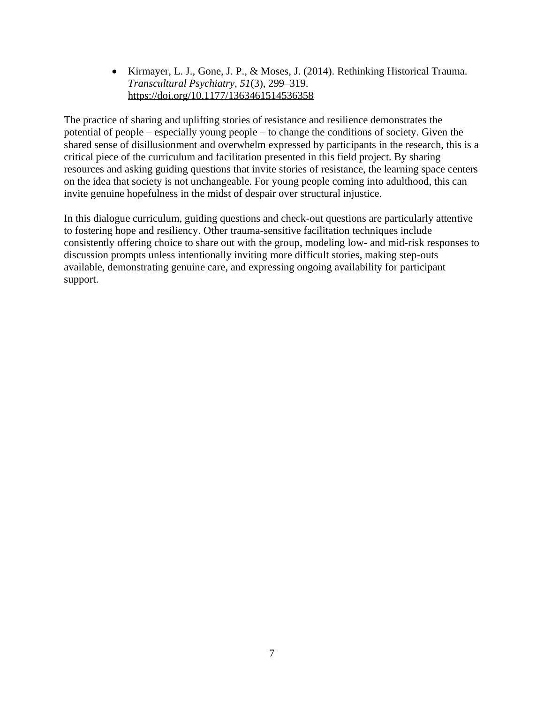• Kirmayer, L. J., Gone, J. P., & Moses, J. (2014). Rethinking Historical Trauma. *Transcultural Psychiatry*, *51*(3), 299–319. <https://doi.org/10.1177/1363461514536358>

The practice of sharing and uplifting stories of resistance and resilience demonstrates the potential of people – especially young people – to change the conditions of society. Given the shared sense of disillusionment and overwhelm expressed by participants in the research, this is a critical piece of the curriculum and facilitation presented in this field project. By sharing resources and asking guiding questions that invite stories of resistance, the learning space centers on the idea that society is not unchangeable. For young people coming into adulthood, this can invite genuine hopefulness in the midst of despair over structural injustice.

In this dialogue curriculum, guiding questions and check-out questions are particularly attentive to fostering hope and resiliency. Other trauma-sensitive facilitation techniques include consistently offering choice to share out with the group, modeling low- and mid-risk responses to discussion prompts unless intentionally inviting more difficult stories, making step-outs available, demonstrating genuine care, and expressing ongoing availability for participant support.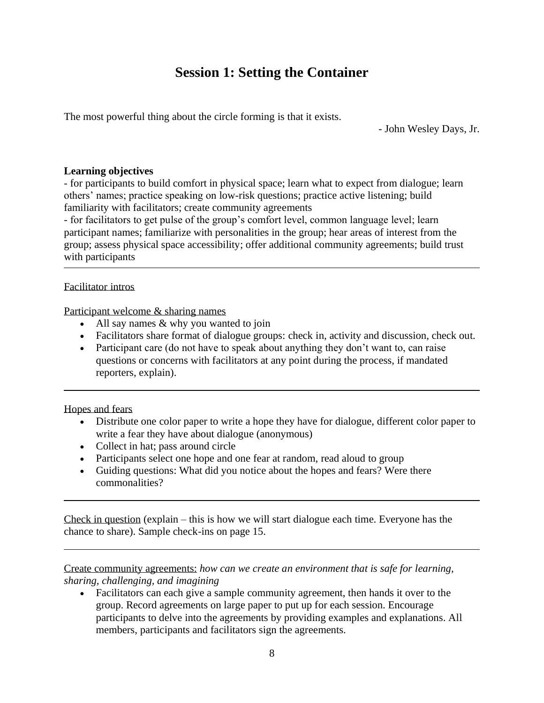# **Session 1: Setting the Container**

The most powerful thing about the circle forming is that it exists.

- John Wesley Days, Jr.

## **Learning objectives**

- for participants to build comfort in physical space; learn what to expect from dialogue; learn others' names; practice speaking on low-risk questions; practice active listening; build familiarity with facilitators; create community agreements

- for facilitators to get pulse of the group's comfort level, common language level; learn participant names; familiarize with personalities in the group; hear areas of interest from the group; assess physical space accessibility; offer additional community agreements; build trust with participants

## Facilitator intros

Participant welcome & sharing names

- All say names & why you wanted to join
- Facilitators share format of dialogue groups: check in, activity and discussion, check out.
- Participant care (do not have to speak about anything they don't want to, can raise questions or concerns with facilitators at any point during the process, if mandated reporters, explain).

Hopes and fears

- Distribute one color paper to write a hope they have for dialogue, different color paper to write a fear they have about dialogue (anonymous)
- Collect in hat; pass around circle
- Participants select one hope and one fear at random, read aloud to group
- Guiding questions: What did you notice about the hopes and fears? Were there commonalities?

Check in question (explain – this is how we will start dialogue each time. Everyone has the chance to share). Sample check-ins on page 15.

Create community agreements: *how can we create an environment that is safe for learning, sharing, challenging, and imagining*

• Facilitators can each give a sample community agreement, then hands it over to the group. Record agreements on large paper to put up for each session. Encourage participants to delve into the agreements by providing examples and explanations. All members, participants and facilitators sign the agreements.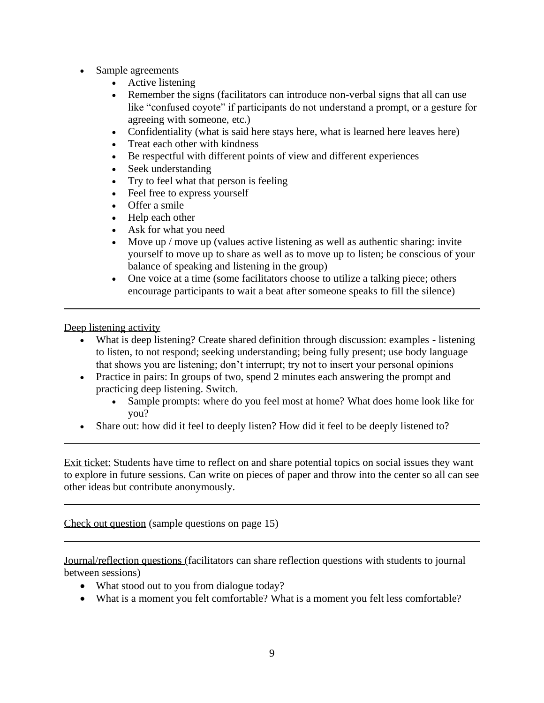- Sample agreements
	- Active listening
	- Remember the signs (facilitators can introduce non-verbal signs that all can use like "confused coyote" if participants do not understand a prompt, or a gesture for agreeing with someone, etc.)
	- Confidentiality (what is said here stays here, what is learned here leaves here)
	- Treat each other with kindness
	- Be respectful with different points of view and different experiences
	- Seek understanding
	- Try to feel what that person is feeling
	- Feel free to express yourself
	- Offer a smile
	- Help each other
	- Ask for what you need
	- Move up / move up (values active listening as well as authentic sharing: invite yourself to move up to share as well as to move up to listen; be conscious of your balance of speaking and listening in the group)
	- One voice at a time (some facilitators choose to utilize a talking piece; others encourage participants to wait a beat after someone speaks to fill the silence)

Deep listening activity

- What is deep listening? Create shared definition through discussion: examples listening to listen, to not respond; seeking understanding; being fully present; use body language that shows you are listening; don't interrupt; try not to insert your personal opinions
- Practice in pairs: In groups of two, spend 2 minutes each answering the prompt and practicing deep listening. Switch.
	- Sample prompts: where do you feel most at home? What does home look like for you?
- Share out: how did it feel to deeply listen? How did it feel to be deeply listened to?

Exit ticket: Students have time to reflect on and share potential topics on social issues they want to explore in future sessions. Can write on pieces of paper and throw into the center so all can see other ideas but contribute anonymously.

Check out question (sample questions on page 15)

Journal/reflection questions (facilitators can share reflection questions with students to journal between sessions)

- What stood out to you from dialogue today?
- What is a moment you felt comfortable? What is a moment you felt less comfortable?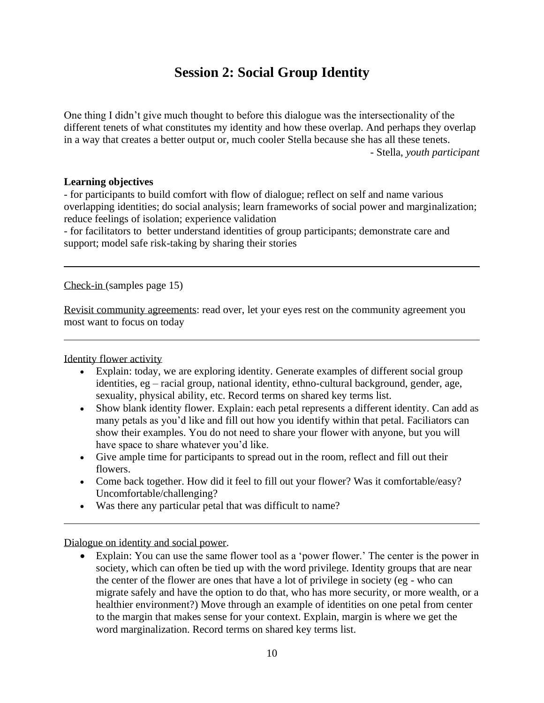# **Session 2: Social Group Identity**

One thing I didn't give much thought to before this dialogue was the intersectionality of the different tenets of what constitutes my identity and how these overlap. And perhaps they overlap in a way that creates a better output or, much cooler Stella because she has all these tenets. - Stella, *youth participant*

## **Learning objectives**

- for participants to build comfort with flow of dialogue; reflect on self and name various overlapping identities; do social analysis; learn frameworks of social power and marginalization; reduce feelings of isolation; experience validation

- for facilitators to better understand identities of group participants; demonstrate care and support; model safe risk-taking by sharing their stories

Check-in (samples page 15)

Revisit community agreements: read over, let your eyes rest on the community agreement you most want to focus on today

Identity flower activity

- Explain: today, we are exploring identity. Generate examples of different social group identities, eg – racial group, national identity, ethno-cultural background, gender, age, sexuality, physical ability, etc. Record terms on shared key terms list.
- Show blank identity flower. Explain: each petal represents a different identity. Can add as many petals as you'd like and fill out how you identify within that petal. Faciliators can show their examples. You do not need to share your flower with anyone, but you will have space to share whatever you'd like.
- Give ample time for participants to spread out in the room, reflect and fill out their flowers.
- Come back together. How did it feel to fill out your flower? Was it comfortable/easy? Uncomfortable/challenging?
- Was there any particular petal that was difficult to name?

Dialogue on identity and social power.

• Explain: You can use the same flower tool as a 'power flower.' The center is the power in society, which can often be tied up with the word privilege. Identity groups that are near the center of the flower are ones that have a lot of privilege in society (eg - who can migrate safely and have the option to do that, who has more security, or more wealth, or a healthier environment?) Move through an example of identities on one petal from center to the margin that makes sense for your context. Explain, margin is where we get the word marginalization. Record terms on shared key terms list.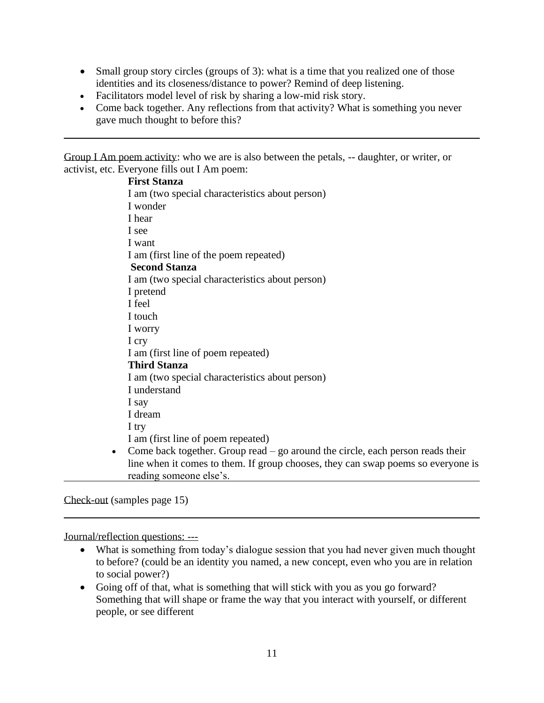- Small group story circles (groups of 3): what is a time that you realized one of those identities and its closeness/distance to power? Remind of deep listening.
- Facilitators model level of risk by sharing a low-mid risk story.
- Come back together. Any reflections from that activity? What is something you never gave much thought to before this?

Group I Am poem activity: who we are is also between the petals, -- daughter, or writer, or activist, etc. Everyone fills out I Am poem:

# **First Stanza** I am (two special characteristics about person) I wonder I hear I see I want I am (first line of the poem repeated) **Second Stanza** I am (two special characteristics about person) I pretend I feel I touch I worry I cry I am (first line of poem repeated) **Third Stanza** I am (two special characteristics about person) I understand I say I dream I try I am (first line of poem repeated) • Come back together. Group read  $-$  go around the circle, each person reads their line when it comes to them. If group chooses, they can swap poems so everyone is reading someone else's.

Check-out (samples page 15)

Journal/reflection questions: ---

- What is something from today's dialogue session that you had never given much thought to before? (could be an identity you named, a new concept, even who you are in relation to social power?)
- Going off of that, what is something that will stick with you as you go forward? Something that will shape or frame the way that you interact with yourself, or different people, or see different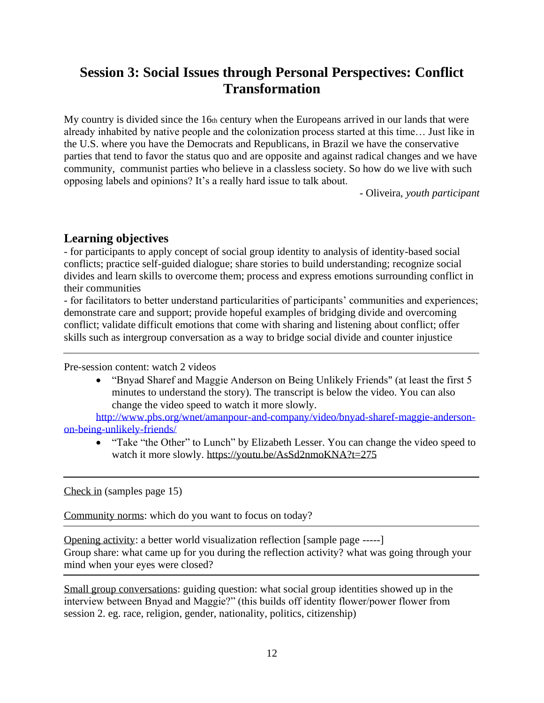# **Session 3: Social Issues through Personal Perspectives: Conflict Transformation**

My country is divided since the 16th century when the Europeans arrived in our lands that were already inhabited by native people and the colonization process started at this time… Just like in the U.S. where you have the Democrats and Republicans, in Brazil we have the conservative parties that tend to favor the status quo and are opposite and against radical changes and we have community, communist parties who believe in a classless society. So how do we live with such opposing labels and opinions? It's a really hard issue to talk about.

- Oliveira, *youth participant*

# **Learning objectives**

- for participants to apply concept of social group identity to analysis of identity-based social conflicts; practice self-guided dialogue; share stories to build understanding; recognize social divides and learn skills to overcome them; process and express emotions surrounding conflict in their communities

- for facilitators to better understand particularities of participants' communities and experiences; demonstrate care and support; provide hopeful examples of bridging divide and overcoming conflict; validate difficult emotions that come with sharing and listening about conflict; offer skills such as intergroup conversation as a way to bridge social divide and counter injustice

Pre-session content: watch 2 videos

• "Bnyad Sharef and Maggie Anderson on Being Unlikely Friends" (at least the first 5 minutes to understand the story). The transcript is below the video. You can also change the video speed to watch it more slowly.

[http://www.pbs.org/wnet/amanpour-and-company/video/bnyad-sharef-maggie-anderson](http://www.pbs.org/wnet/amanpour-and-company/video/bnyad-sharef-maggie-anderson-on-being-unlikely-friends/)[on-being-unlikely-friends/](http://www.pbs.org/wnet/amanpour-and-company/video/bnyad-sharef-maggie-anderson-on-being-unlikely-friends/)

• "Take "the Other" to Lunch" by Elizabeth Lesser. You can change the video speed to watch it more slowly.<https://youtu.be/AsSd2nmoKNA?t=275>

Check in (samples page 15)

Community norms: which do you want to focus on today?

Opening activity: a better world visualization reflection [sample page -----] Group share: what came up for you during the reflection activity? what was going through your mind when your eyes were closed?

Small group conversations: guiding question: what social group identities showed up in the interview between Bnyad and Maggie?" (this builds off identity flower/power flower from session 2. eg. race, religion, gender, nationality, politics, citizenship)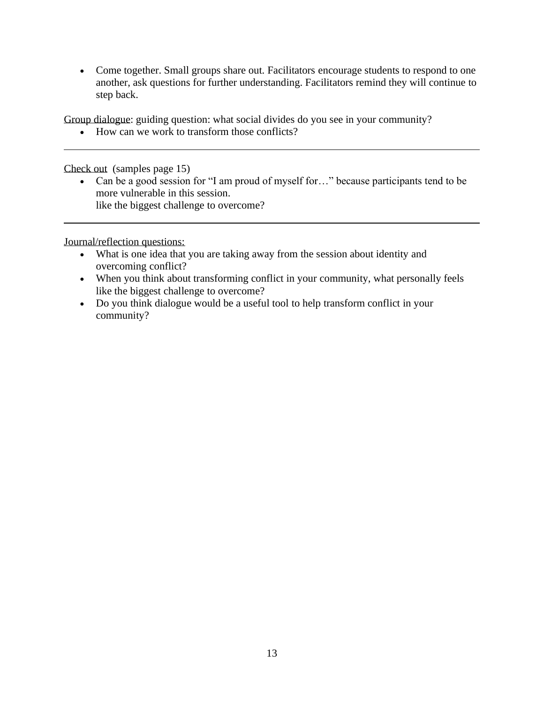• Come together. Small groups share out. Facilitators encourage students to respond to one another, ask questions for further understanding. Facilitators remind they will continue to step back.

Group dialogue: guiding question: what social divides do you see in your community?

• How can we work to transform those conflicts?

Check out (samples page 15)

• Can be a good session for "I am proud of myself for..." because participants tend to be more vulnerable in this session. like the biggest challenge to overcome?

Journal/reflection questions:

- What is one idea that you are taking away from the session about identity and overcoming conflict?
- When you think about transforming conflict in your community, what personally feels like the biggest challenge to overcome?
- Do you think dialogue would be a useful tool to help transform conflict in your community?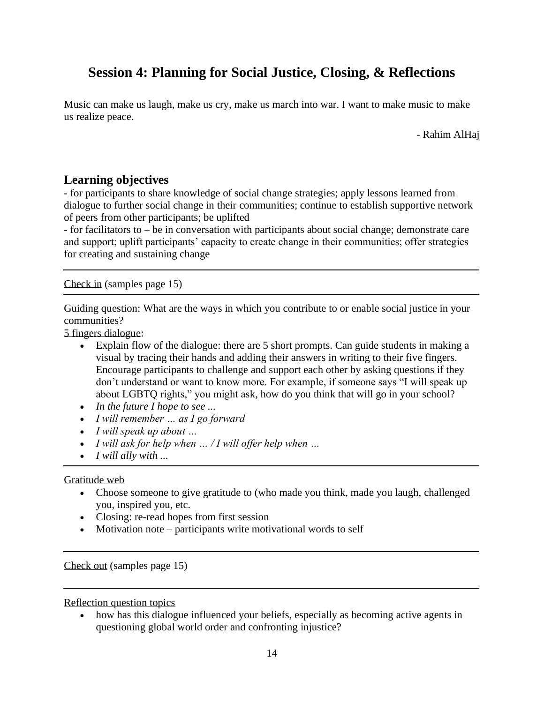# **Session 4: Planning for Social Justice, Closing, & Reflections**

Music can make us laugh, make us cry, make us march into war. I want to make music to make us realize peace.

- Rahim AlHaj

# **Learning objectives**

- for participants to share knowledge of social change strategies; apply lessons learned from dialogue to further social change in their communities; continue to establish supportive network of peers from other participants; be uplifted

- for facilitators to – be in conversation with participants about social change; demonstrate care and support; uplift participants' capacity to create change in their communities; offer strategies for creating and sustaining change

Check in (samples page 15)

Guiding question: What are the ways in which you contribute to or enable social justice in your communities?

5 fingers dialogue:

- Explain flow of the dialogue: there are 5 short prompts. Can guide students in making a visual by tracing their hands and adding their answers in writing to their five fingers. Encourage participants to challenge and support each other by asking questions if they don't understand or want to know more. For example, if someone says "I will speak up about LGBTQ rights," you might ask, how do you think that will go in your school?
- *In the future I hope to see ...*
- *I will remember … as I go forward*
- *I will speak up about …*
- *I will ask for help when … / I will offer help when …*
- *I will ally with ...*

## Gratitude web

- Choose someone to give gratitude to (who made you think, made you laugh, challenged you, inspired you, etc.
- Closing: re-read hopes from first session
- Motivation note participants write motivational words to self

Check out (samples page 15)

Reflection question topics

• how has this dialogue influenced your beliefs, especially as becoming active agents in questioning global world order and confronting injustice?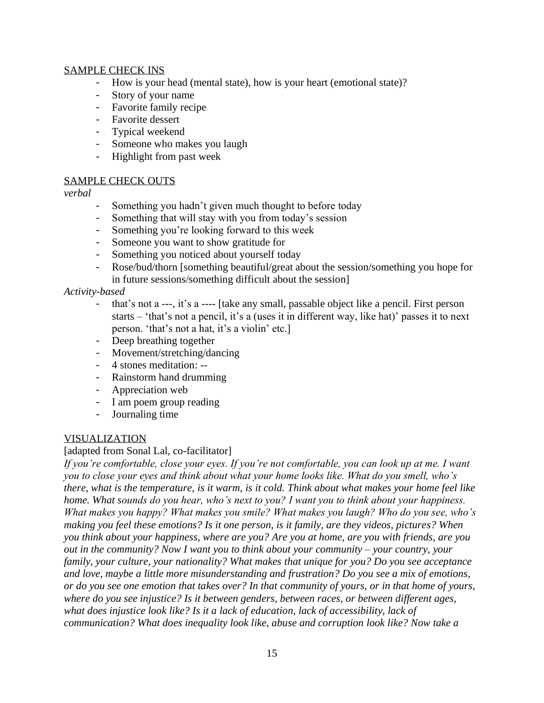## SAMPLE CHECK INS

- How is your head (mental state), how is your heart (emotional state)?
- Story of your name
- Favorite family recipe
- Favorite dessert
- Typical weekend
- Someone who makes you laugh
- Highlight from past week

#### SAMPLE CHECK OUTS

*verbal*

- Something you hadn't given much thought to before today
- Something that will stay with you from today's session
- Something you're looking forward to this week
- Someone you want to show gratitude for
- Something you noticed about yourself today
- Rose/bud/thorn [something beautiful/great about the session/something you hope for in future sessions/something difficult about the session]

## *Activity-based*

- that's not a ---, it's a ---- [take any small, passable object like a pencil. First person starts – 'that's not a pencil, it's a (uses it in different way, like hat)' passes it to next person. 'that's not a hat, it's a violin' etc.]
- Deep breathing together
- Movement/stretching/dancing
- 4 stones meditation: --
- Rainstorm hand drumming
- Appreciation web
- I am poem group reading
- Journaling time

## VISUALIZATION

## [adapted from Sonal Lal, co-facilitator]

*If you're comfortable, close your eyes. If you're not comfortable, you can look up at me. I want you to close your eyes and think about what your home looks like. What do you smell, who's there, what is the temperature, is it warm, is it cold. Think about what makes your home feel like home. What sounds do you hear, who's next to you? I want you to think about your happiness. What makes you happy? What makes you smile? What makes you laugh? Who do you see, who's making you feel these emotions? Is it one person, is it family, are they videos, pictures? When you think about your happiness, where are you? Are you at home, are you with friends, are you out in the community? Now I want you to think about your community – your country, your family, your culture, your nationality? What makes that unique for you? Do you see acceptance and love, maybe a little more misunderstanding and frustration? Do you see a mix of emotions, or do you see one emotion that takes over? In that community of yours, or in that home of yours, where do you see injustice? Is it between genders, between races, or between different ages, what does injustice look like? Is it a lack of education, lack of accessibility, lack of communication? What does inequality look like, abuse and corruption look like? Now take a*